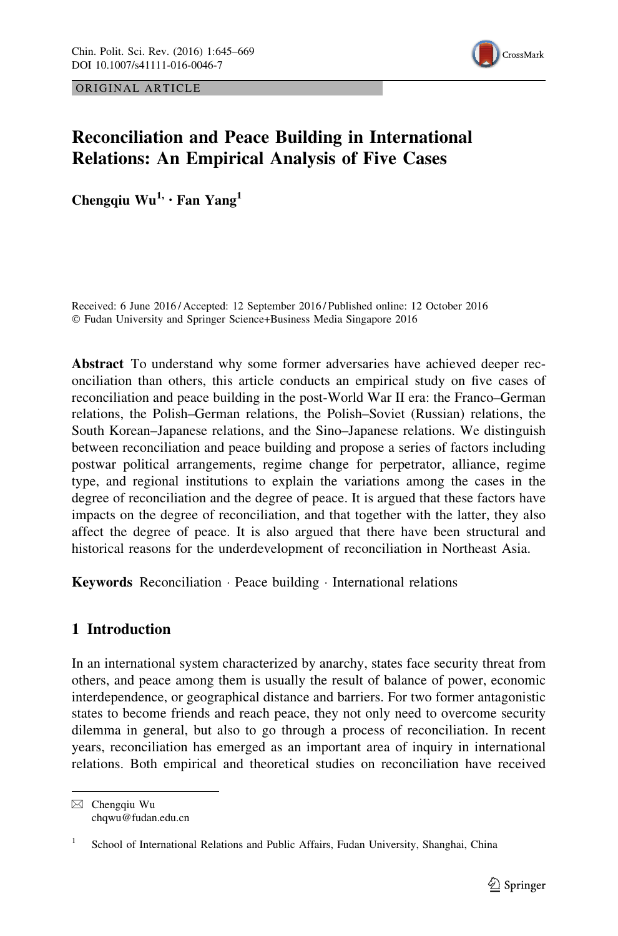ORIGINAL ARTICLE



# Reconciliation and Peace Building in International Relations: An Empirical Analysis of Five Cases

Chengqiu  $Wu^{1, \cdot}$  Fan Yang<sup>1</sup>

Received: 6 June 2016 / Accepted: 12 September 2016 / Published online: 12 October 2016 - Fudan University and Springer Science+Business Media Singapore 2016

Abstract To understand why some former adversaries have achieved deeper reconciliation than others, this article conducts an empirical study on five cases of reconciliation and peace building in the post-World War II era: the Franco–German relations, the Polish–German relations, the Polish–Soviet (Russian) relations, the South Korean–Japanese relations, and the Sino–Japanese relations. We distinguish between reconciliation and peace building and propose a series of factors including postwar political arrangements, regime change for perpetrator, alliance, regime type, and regional institutions to explain the variations among the cases in the degree of reconciliation and the degree of peace. It is argued that these factors have impacts on the degree of reconciliation, and that together with the latter, they also affect the degree of peace. It is also argued that there have been structural and historical reasons for the underdevelopment of reconciliation in Northeast Asia.

Keywords Reconciliation · Peace building · International relations

# 1 Introduction

In an international system characterized by anarchy, states face security threat from others, and peace among them is usually the result of balance of power, economic interdependence, or geographical distance and barriers. For two former antagonistic states to become friends and reach peace, they not only need to overcome security dilemma in general, but also to go through a process of reconciliation. In recent years, reconciliation has emerged as an important area of inquiry in international relations. Both empirical and theoretical studies on reconciliation have received

 $\boxtimes$  Chengqiu Wu chqwu@fudan.edu.cn

<sup>&</sup>lt;sup>1</sup> School of International Relations and Public Affairs, Fudan University, Shanghai, China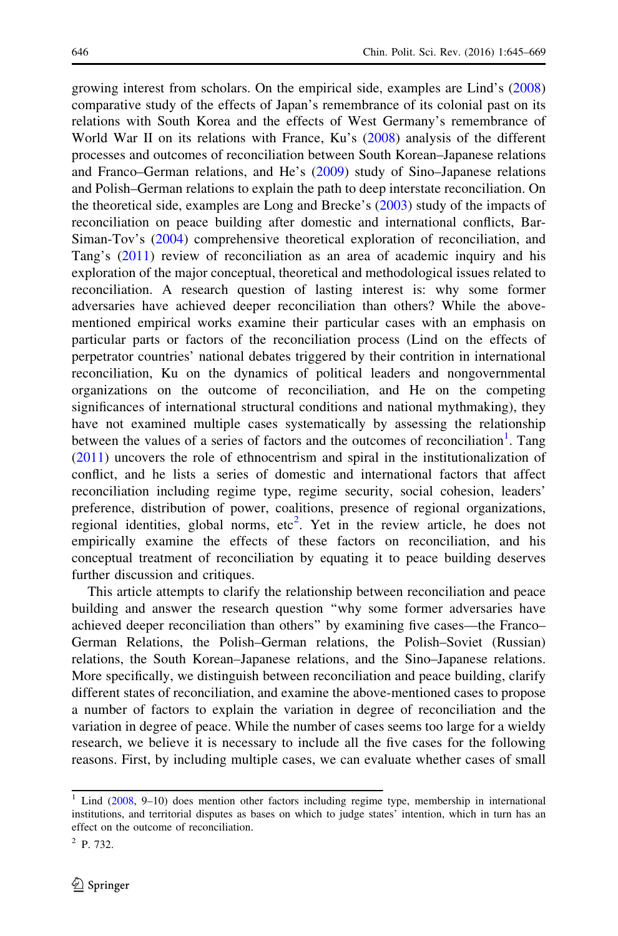growing interest from scholars. On the empirical side, examples are Lind's [\(2008](#page-23-0)) comparative study of the effects of Japan's remembrance of its colonial past on its relations with South Korea and the effects of West Germany's remembrance of World War II on its relations with France, Ku's [\(2008](#page-23-0)) analysis of the different processes and outcomes of reconciliation between South Korean–Japanese relations and Franco–German relations, and He's ([2009\)](#page-23-0) study of Sino–Japanese relations and Polish–German relations to explain the path to deep interstate reconciliation. On the theoretical side, examples are Long and Brecke's [\(2003](#page-23-0)) study of the impacts of reconciliation on peace building after domestic and international conflicts, Bar-Siman-Tov's ([2004\)](#page-22-0) comprehensive theoretical exploration of reconciliation, and Tang's ([2011\)](#page-24-0) review of reconciliation as an area of academic inquiry and his exploration of the major conceptual, theoretical and methodological issues related to reconciliation. A research question of lasting interest is: why some former adversaries have achieved deeper reconciliation than others? While the abovementioned empirical works examine their particular cases with an emphasis on particular parts or factors of the reconciliation process (Lind on the effects of perpetrator countries' national debates triggered by their contrition in international reconciliation, Ku on the dynamics of political leaders and nongovernmental organizations on the outcome of reconciliation, and He on the competing significances of international structural conditions and national mythmaking), they have not examined multiple cases systematically by assessing the relationship between the values of a series of factors and the outcomes of reconciliation<sup>1</sup>. Tang [\(2011](#page-24-0)) uncovers the role of ethnocentrism and spiral in the institutionalization of conflict, and he lists a series of domestic and international factors that affect reconciliation including regime type, regime security, social cohesion, leaders' preference, distribution of power, coalitions, presence of regional organizations, regional identities, global norms,  $etc<sup>2</sup>$ . Yet in the review article, he does not empirically examine the effects of these factors on reconciliation, and his conceptual treatment of reconciliation by equating it to peace building deserves further discussion and critiques.

This article attempts to clarify the relationship between reconciliation and peace building and answer the research question ''why some former adversaries have achieved deeper reconciliation than others'' by examining five cases—the Franco– German Relations, the Polish–German relations, the Polish–Soviet (Russian) relations, the South Korean–Japanese relations, and the Sino–Japanese relations. More specifically, we distinguish between reconciliation and peace building, clarify different states of reconciliation, and examine the above-mentioned cases to propose a number of factors to explain the variation in degree of reconciliation and the variation in degree of peace. While the number of cases seems too large for a wieldy research, we believe it is necessary to include all the five cases for the following reasons. First, by including multiple cases, we can evaluate whether cases of small

<sup>&</sup>lt;sup>1</sup> Lind [\(2008](#page-23-0), 9-10) does mention other factors including regime type, membership in international institutions, and territorial disputes as bases on which to judge states' intention, which in turn has an effect on the outcome of reconciliation.

<sup>2</sup> P. 732.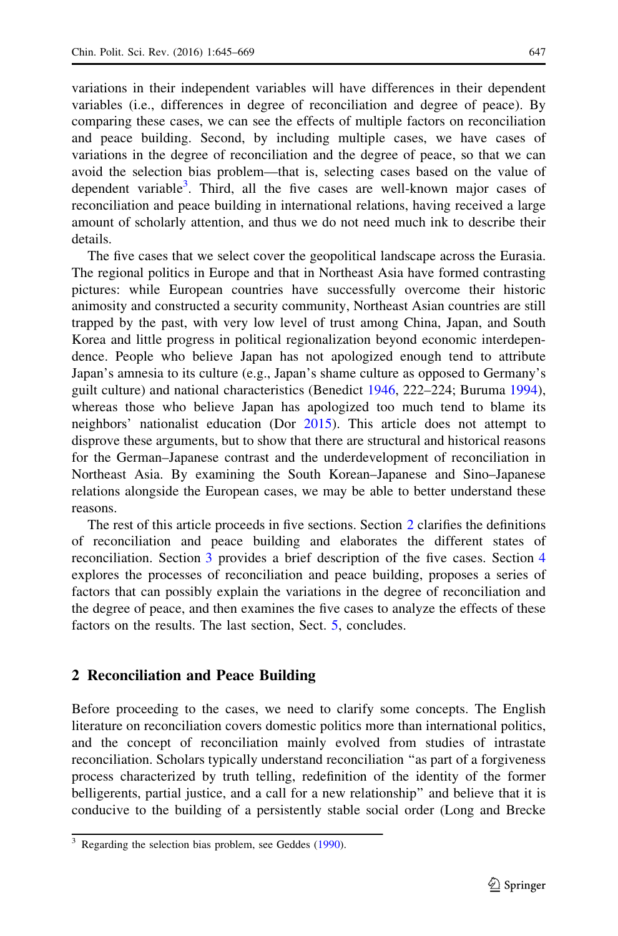<span id="page-2-0"></span>variations in their independent variables will have differences in their dependent variables (i.e., differences in degree of reconciliation and degree of peace). By comparing these cases, we can see the effects of multiple factors on reconciliation and peace building. Second, by including multiple cases, we have cases of variations in the degree of reconciliation and the degree of peace, so that we can avoid the selection bias problem—that is, selecting cases based on the value of dependent variable<sup>3</sup>. Third, all the five cases are well-known major cases of reconciliation and peace building in international relations, having received a large amount of scholarly attention, and thus we do not need much ink to describe their details.

The five cases that we select cover the geopolitical landscape across the Eurasia. The regional politics in Europe and that in Northeast Asia have formed contrasting pictures: while European countries have successfully overcome their historic animosity and constructed a security community, Northeast Asian countries are still trapped by the past, with very low level of trust among China, Japan, and South Korea and little progress in political regionalization beyond economic interdependence. People who believe Japan has not apologized enough tend to attribute Japan's amnesia to its culture (e.g., Japan's shame culture as opposed to Germany's guilt culture) and national characteristics (Benedict [1946](#page-22-0), 222–224; Buruma [1994\)](#page-22-0), whereas those who believe Japan has apologized too much tend to blame its neighbors' nationalist education (Dor [2015](#page-23-0)). This article does not attempt to disprove these arguments, but to show that there are structural and historical reasons for the German–Japanese contrast and the underdevelopment of reconciliation in Northeast Asia. By examining the South Korean–Japanese and Sino–Japanese relations alongside the European cases, we may be able to better understand these reasons.

The rest of this article proceeds in five sections. Section 2 clarifies the definitions of reconciliation and peace building and elaborates the different states of reconciliation. Section [3](#page-5-0) provides a brief description of the five cases. Section [4](#page-13-0) explores the processes of reconciliation and peace building, proposes a series of factors that can possibly explain the variations in the degree of reconciliation and the degree of peace, and then examines the five cases to analyze the effects of these factors on the results. The last section, Sect. [5,](#page-21-0) concludes.

# 2 Reconciliation and Peace Building

Before proceeding to the cases, we need to clarify some concepts. The English literature on reconciliation covers domestic politics more than international politics, and the concept of reconciliation mainly evolved from studies of intrastate reconciliation. Scholars typically understand reconciliation ''as part of a forgiveness process characterized by truth telling, redefinition of the identity of the former belligerents, partial justice, and a call for a new relationship" and believe that it is conducive to the building of a persistently stable social order (Long and Brecke

 $3$  Regarding the selection bias problem, see Geddes [\(1990\)](#page-23-0).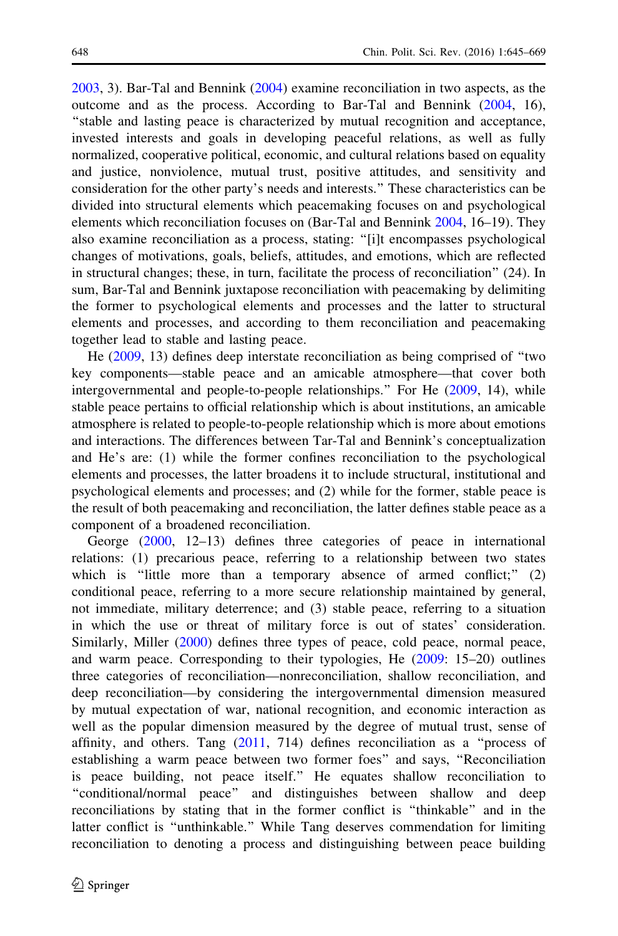[2003,](#page-23-0) 3). Bar-Tal and Bennink [\(2004](#page-22-0)) examine reconciliation in two aspects, as the outcome and as the process. According to Bar-Tal and Bennink [\(2004](#page-22-0), 16), ''stable and lasting peace is characterized by mutual recognition and acceptance, invested interests and goals in developing peaceful relations, as well as fully normalized, cooperative political, economic, and cultural relations based on equality and justice, nonviolence, mutual trust, positive attitudes, and sensitivity and consideration for the other party's needs and interests.'' These characteristics can be divided into structural elements which peacemaking focuses on and psychological elements which reconciliation focuses on (Bar-Tal and Bennink [2004](#page-22-0), 16–19). They also examine reconciliation as a process, stating: ''[i]t encompasses psychological changes of motivations, goals, beliefs, attitudes, and emotions, which are reflected in structural changes; these, in turn, facilitate the process of reconciliation'' (24). In sum, Bar-Tal and Bennink juxtapose reconciliation with peacemaking by delimiting the former to psychological elements and processes and the latter to structural elements and processes, and according to them reconciliation and peacemaking together lead to stable and lasting peace.

He ([2009](#page-23-0), 13) defines deep interstate reconciliation as being comprised of ''two key components—stable peace and an amicable atmosphere—that cover both intergovernmental and people-to-people relationships.'' For He ([2009,](#page-23-0) 14), while stable peace pertains to official relationship which is about institutions, an amicable atmosphere is related to people-to-people relationship which is more about emotions and interactions. The differences between Tar-Tal and Bennink's conceptualization and He's are: (1) while the former confines reconciliation to the psychological elements and processes, the latter broadens it to include structural, institutional and psychological elements and processes; and (2) while for the former, stable peace is the result of both peacemaking and reconciliation, the latter defines stable peace as a component of a broadened reconciliation.

George [\(2000](#page-23-0), 12–13) defines three categories of peace in international relations: (1) precarious peace, referring to a relationship between two states which is "little more than a temporary absence of armed conflict;" (2) conditional peace, referring to a more secure relationship maintained by general, not immediate, military deterrence; and (3) stable peace, referring to a situation in which the use or threat of military force is out of states' consideration. Similarly, Miller ([2000\)](#page-23-0) defines three types of peace, cold peace, normal peace, and warm peace. Corresponding to their typologies, He [\(2009](#page-23-0): 15–20) outlines three categories of reconciliation—nonreconciliation, shallow reconciliation, and deep reconciliation—by considering the intergovernmental dimension measured by mutual expectation of war, national recognition, and economic interaction as well as the popular dimension measured by the degree of mutual trust, sense of affinity, and others. Tang  $(2011, 714)$  $(2011, 714)$  defines reconciliation as a "process of establishing a warm peace between two former foes'' and says, ''Reconciliation is peace building, not peace itself.'' He equates shallow reconciliation to ''conditional/normal peace'' and distinguishes between shallow and deep reconciliations by stating that in the former conflict is ''thinkable'' and in the latter conflict is ''unthinkable.'' While Tang deserves commendation for limiting reconciliation to denoting a process and distinguishing between peace building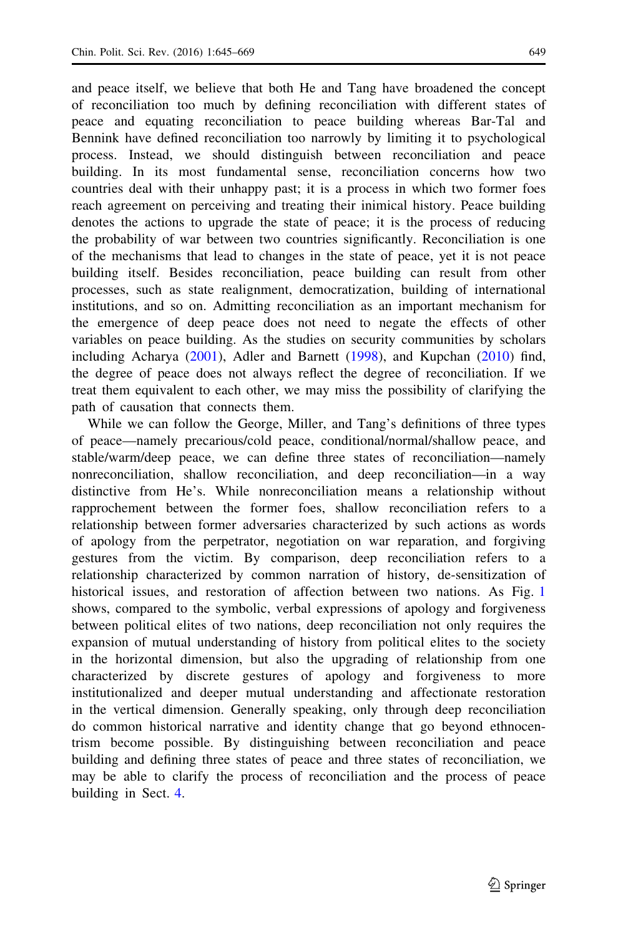and peace itself, we believe that both He and Tang have broadened the concept of reconciliation too much by defining reconciliation with different states of peace and equating reconciliation to peace building whereas Bar-Tal and Bennink have defined reconciliation too narrowly by limiting it to psychological process. Instead, we should distinguish between reconciliation and peace building. In its most fundamental sense, reconciliation concerns how two countries deal with their unhappy past; it is a process in which two former foes reach agreement on perceiving and treating their inimical history. Peace building denotes the actions to upgrade the state of peace; it is the process of reducing the probability of war between two countries significantly. Reconciliation is one of the mechanisms that lead to changes in the state of peace, yet it is not peace building itself. Besides reconciliation, peace building can result from other processes, such as state realignment, democratization, building of international institutions, and so on. Admitting reconciliation as an important mechanism for the emergence of deep peace does not need to negate the effects of other variables on peace building. As the studies on security communities by scholars including Acharya [\(2001](#page-22-0)), Adler and Barnett [\(1998](#page-22-0)), and Kupchan ([2010](#page-23-0)) find, the degree of peace does not always reflect the degree of reconciliation. If we treat them equivalent to each other, we may miss the possibility of clarifying the path of causation that connects them.

While we can follow the George, Miller, and Tang's definitions of three types of peace—namely precarious/cold peace, conditional/normal/shallow peace, and stable/warm/deep peace, we can define three states of reconciliation—namely nonreconciliation, shallow reconciliation, and deep reconciliation—in a way distinctive from He's. While nonreconciliation means a relationship without rapprochement between the former foes, shallow reconciliation refers to a relationship between former adversaries characterized by such actions as words of apology from the perpetrator, negotiation on war reparation, and forgiving gestures from the victim. By comparison, deep reconciliation refers to a relationship characterized by common narration of history, de-sensitization of historical issues, and restoration of affection between two nations. As Fig. [1](#page-5-0) shows, compared to the symbolic, verbal expressions of apology and forgiveness between political elites of two nations, deep reconciliation not only requires the expansion of mutual understanding of history from political elites to the society in the horizontal dimension, but also the upgrading of relationship from one characterized by discrete gestures of apology and forgiveness to more institutionalized and deeper mutual understanding and affectionate restoration in the vertical dimension. Generally speaking, only through deep reconciliation do common historical narrative and identity change that go beyond ethnocentrism become possible. By distinguishing between reconciliation and peace building and defining three states of peace and three states of reconciliation, we may be able to clarify the process of reconciliation and the process of peace building in Sect. [4](#page-13-0).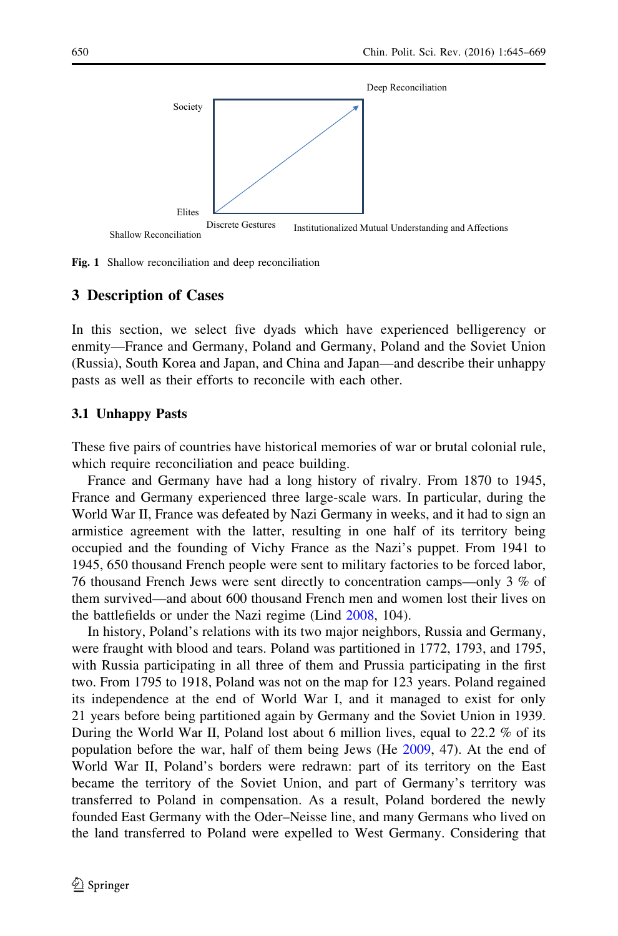<span id="page-5-0"></span>

Fig. 1 Shallow reconciliation and deep reconciliation

## 3 Description of Cases

In this section, we select five dyads which have experienced belligerency or enmity—France and Germany, Poland and Germany, Poland and the Soviet Union (Russia), South Korea and Japan, and China and Japan—and describe their unhappy pasts as well as their efforts to reconcile with each other.

#### 3.1 Unhappy Pasts

These five pairs of countries have historical memories of war or brutal colonial rule, which require reconciliation and peace building.

France and Germany have had a long history of rivalry. From 1870 to 1945, France and Germany experienced three large-scale wars. In particular, during the World War II, France was defeated by Nazi Germany in weeks, and it had to sign an armistice agreement with the latter, resulting in one half of its territory being occupied and the founding of Vichy France as the Nazi's puppet. From 1941 to 1945, 650 thousand French people were sent to military factories to be forced labor, 76 thousand French Jews were sent directly to concentration camps—only 3 % of them survived—and about 600 thousand French men and women lost their lives on the battlefields or under the Nazi regime (Lind [2008](#page-23-0), 104).

In history, Poland's relations with its two major neighbors, Russia and Germany, were fraught with blood and tears. Poland was partitioned in 1772, 1793, and 1795, with Russia participating in all three of them and Prussia participating in the first two. From 1795 to 1918, Poland was not on the map for 123 years. Poland regained its independence at the end of World War I, and it managed to exist for only 21 years before being partitioned again by Germany and the Soviet Union in 1939. During the World War II, Poland lost about 6 million lives, equal to 22.2 % of its population before the war, half of them being Jews (He [2009,](#page-23-0) 47). At the end of World War II, Poland's borders were redrawn: part of its territory on the East became the territory of the Soviet Union, and part of Germany's territory was transferred to Poland in compensation. As a result, Poland bordered the newly founded East Germany with the Oder–Neisse line, and many Germans who lived on the land transferred to Poland were expelled to West Germany. Considering that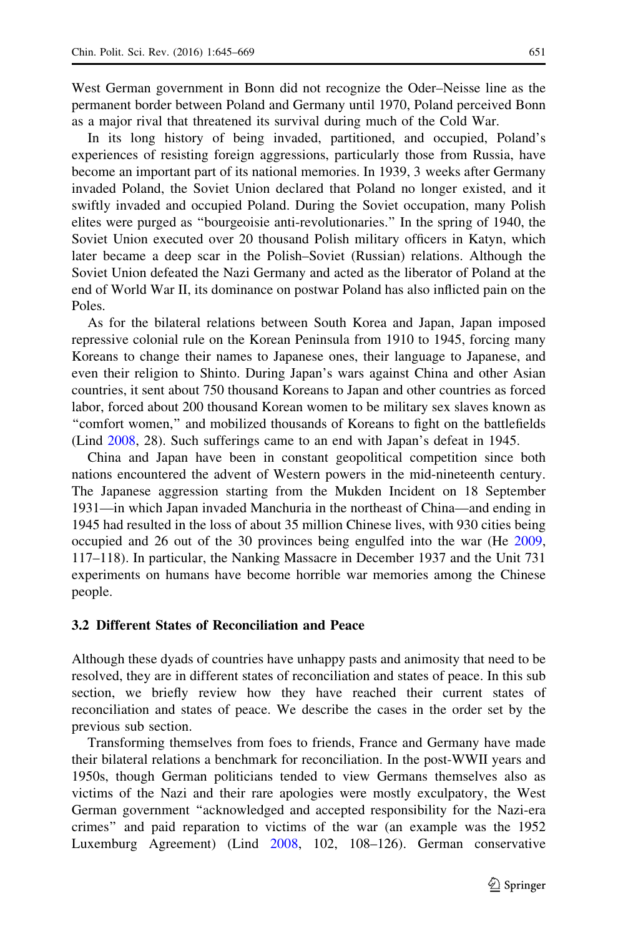West German government in Bonn did not recognize the Oder–Neisse line as the permanent border between Poland and Germany until 1970, Poland perceived Bonn as a major rival that threatened its survival during much of the Cold War.

In its long history of being invaded, partitioned, and occupied, Poland's experiences of resisting foreign aggressions, particularly those from Russia, have become an important part of its national memories. In 1939, 3 weeks after Germany invaded Poland, the Soviet Union declared that Poland no longer existed, and it swiftly invaded and occupied Poland. During the Soviet occupation, many Polish elites were purged as ''bourgeoisie anti-revolutionaries.'' In the spring of 1940, the Soviet Union executed over 20 thousand Polish military officers in Katyn, which later became a deep scar in the Polish–Soviet (Russian) relations. Although the Soviet Union defeated the Nazi Germany and acted as the liberator of Poland at the end of World War II, its dominance on postwar Poland has also inflicted pain on the Poles.

As for the bilateral relations between South Korea and Japan, Japan imposed repressive colonial rule on the Korean Peninsula from 1910 to 1945, forcing many Koreans to change their names to Japanese ones, their language to Japanese, and even their religion to Shinto. During Japan's wars against China and other Asian countries, it sent about 750 thousand Koreans to Japan and other countries as forced labor, forced about 200 thousand Korean women to be military sex slaves known as ''comfort women,'' and mobilized thousands of Koreans to fight on the battlefields (Lind [2008,](#page-23-0) 28). Such sufferings came to an end with Japan's defeat in 1945.

China and Japan have been in constant geopolitical competition since both nations encountered the advent of Western powers in the mid-nineteenth century. The Japanese aggression starting from the Mukden Incident on 18 September 1931—in which Japan invaded Manchuria in the northeast of China—and ending in 1945 had resulted in the loss of about 35 million Chinese lives, with 930 cities being occupied and 26 out of the 30 provinces being engulfed into the war (He [2009,](#page-23-0) 117–118). In particular, the Nanking Massacre in December 1937 and the Unit 731 experiments on humans have become horrible war memories among the Chinese people.

## 3.2 Different States of Reconciliation and Peace

Although these dyads of countries have unhappy pasts and animosity that need to be resolved, they are in different states of reconciliation and states of peace. In this sub section, we briefly review how they have reached their current states of reconciliation and states of peace. We describe the cases in the order set by the previous sub section.

Transforming themselves from foes to friends, France and Germany have made their bilateral relations a benchmark for reconciliation. In the post-WWII years and 1950s, though German politicians tended to view Germans themselves also as victims of the Nazi and their rare apologies were mostly exculpatory, the West German government ''acknowledged and accepted responsibility for the Nazi-era crimes'' and paid reparation to victims of the war (an example was the 1952 Luxemburg Agreement) (Lind [2008](#page-23-0), 102, 108–126). German conservative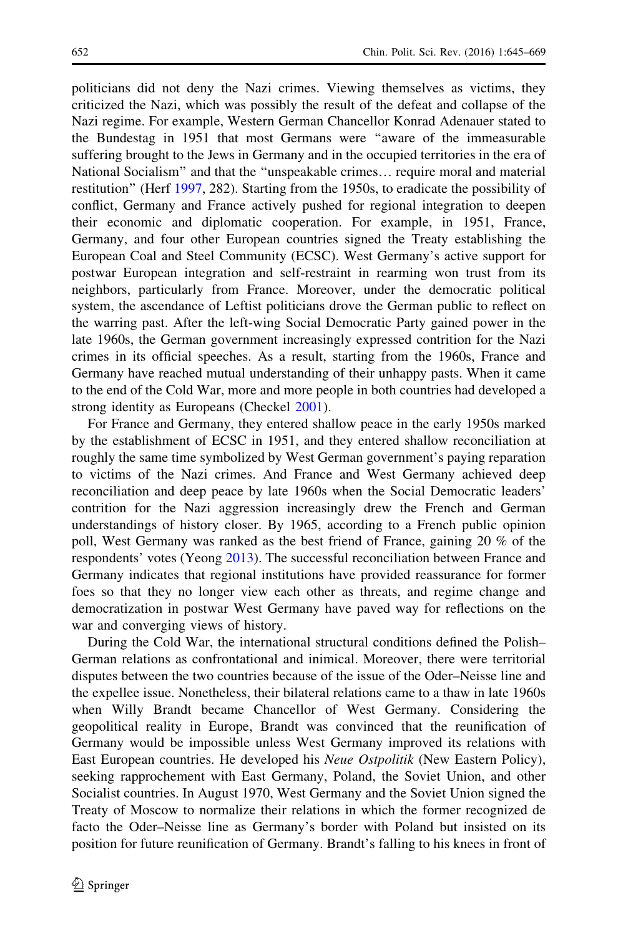politicians did not deny the Nazi crimes. Viewing themselves as victims, they criticized the Nazi, which was possibly the result of the defeat and collapse of the Nazi regime. For example, Western German Chancellor Konrad Adenauer stated to the Bundestag in 1951 that most Germans were ''aware of the immeasurable suffering brought to the Jews in Germany and in the occupied territories in the era of National Socialism'' and that the ''unspeakable crimes… require moral and material restitution'' (Herf [1997,](#page-23-0) 282). Starting from the 1950s, to eradicate the possibility of conflict, Germany and France actively pushed for regional integration to deepen their economic and diplomatic cooperation. For example, in 1951, France, Germany, and four other European countries signed the Treaty establishing the European Coal and Steel Community (ECSC). West Germany's active support for postwar European integration and self-restraint in rearming won trust from its neighbors, particularly from France. Moreover, under the democratic political system, the ascendance of Leftist politicians drove the German public to reflect on the warring past. After the left-wing Social Democratic Party gained power in the late 1960s, the German government increasingly expressed contrition for the Nazi crimes in its official speeches. As a result, starting from the 1960s, France and Germany have reached mutual understanding of their unhappy pasts. When it came to the end of the Cold War, more and more people in both countries had developed a strong identity as Europeans (Checkel [2001\)](#page-23-0).

For France and Germany, they entered shallow peace in the early 1950s marked by the establishment of ECSC in 1951, and they entered shallow reconciliation at roughly the same time symbolized by West German government's paying reparation to victims of the Nazi crimes. And France and West Germany achieved deep reconciliation and deep peace by late 1960s when the Social Democratic leaders' contrition for the Nazi aggression increasingly drew the French and German understandings of history closer. By 1965, according to a French public opinion poll, West Germany was ranked as the best friend of France, gaining 20 % of the respondents' votes (Yeong [2013\)](#page-24-0). The successful reconciliation between France and Germany indicates that regional institutions have provided reassurance for former foes so that they no longer view each other as threats, and regime change and democratization in postwar West Germany have paved way for reflections on the war and converging views of history.

During the Cold War, the international structural conditions defined the Polish– German relations as confrontational and inimical. Moreover, there were territorial disputes between the two countries because of the issue of the Oder–Neisse line and the expellee issue. Nonetheless, their bilateral relations came to a thaw in late 1960s when Willy Brandt became Chancellor of West Germany. Considering the geopolitical reality in Europe, Brandt was convinced that the reunification of Germany would be impossible unless West Germany improved its relations with East European countries. He developed his Neue Ostpolitik (New Eastern Policy), seeking rapprochement with East Germany, Poland, the Soviet Union, and other Socialist countries. In August 1970, West Germany and the Soviet Union signed the Treaty of Moscow to normalize their relations in which the former recognized de facto the Oder–Neisse line as Germany's border with Poland but insisted on its position for future reunification of Germany. Brandt's falling to his knees in front of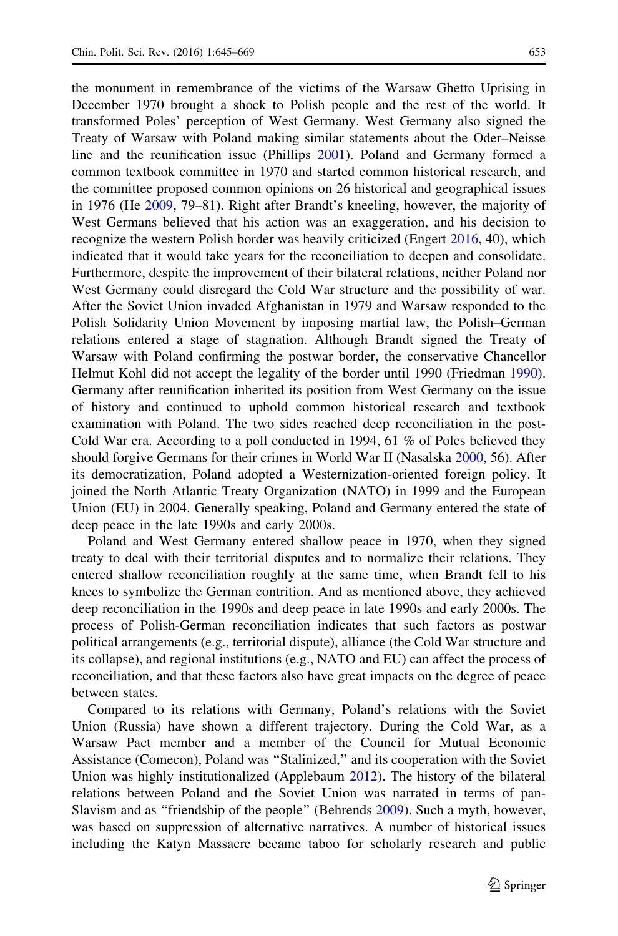the monument in remembrance of the victims of the Warsaw Ghetto Uprising in December 1970 brought a shock to Polish people and the rest of the world. It transformed Poles' perception of West Germany. West Germany also signed the Treaty of Warsaw with Poland making similar statements about the Oder–Neisse line and the reunification issue (Phillips [2001\)](#page-24-0). Poland and Germany formed a common textbook committee in 1970 and started common historical research, and the committee proposed common opinions on 26 historical and geographical issues in 1976 (He [2009](#page-23-0), 79–81). Right after Brandt's kneeling, however, the majority of West Germans believed that his action was an exaggeration, and his decision to recognize the western Polish border was heavily criticized (Engert [2016](#page-23-0), 40), which indicated that it would take years for the reconciliation to deepen and consolidate. Furthermore, despite the improvement of their bilateral relations, neither Poland nor West Germany could disregard the Cold War structure and the possibility of war. After the Soviet Union invaded Afghanistan in 1979 and Warsaw responded to the Polish Solidarity Union Movement by imposing martial law, the Polish–German relations entered a stage of stagnation. Although Brandt signed the Treaty of Warsaw with Poland confirming the postwar border, the conservative Chancellor Helmut Kohl did not accept the legality of the border until 1990 (Friedman [1990\)](#page-23-0). Germany after reunification inherited its position from West Germany on the issue of history and continued to uphold common historical research and textbook examination with Poland. The two sides reached deep reconciliation in the post-Cold War era. According to a poll conducted in 1994, 61 % of Poles believed they should forgive Germans for their crimes in World War II (Nasalska [2000,](#page-24-0) 56). After its democratization, Poland adopted a Westernization-oriented foreign policy. It joined the North Atlantic Treaty Organization (NATO) in 1999 and the European Union (EU) in 2004. Generally speaking, Poland and Germany entered the state of deep peace in the late 1990s and early 2000s.

Poland and West Germany entered shallow peace in 1970, when they signed treaty to deal with their territorial disputes and to normalize their relations. They entered shallow reconciliation roughly at the same time, when Brandt fell to his knees to symbolize the German contrition. And as mentioned above, they achieved deep reconciliation in the 1990s and deep peace in late 1990s and early 2000s. The process of Polish-German reconciliation indicates that such factors as postwar political arrangements (e.g., territorial dispute), alliance (the Cold War structure and its collapse), and regional institutions (e.g., NATO and EU) can affect the process of reconciliation, and that these factors also have great impacts on the degree of peace between states.

Compared to its relations with Germany, Poland's relations with the Soviet Union (Russia) have shown a different trajectory. During the Cold War, as a Warsaw Pact member and a member of the Council for Mutual Economic Assistance (Comecon), Poland was ''Stalinized,'' and its cooperation with the Soviet Union was highly institutionalized (Applebaum [2012\)](#page-22-0). The history of the bilateral relations between Poland and the Soviet Union was narrated in terms of pan-Slavism and as ''friendship of the people'' (Behrends [2009](#page-22-0)). Such a myth, however, was based on suppression of alternative narratives. A number of historical issues including the Katyn Massacre became taboo for scholarly research and public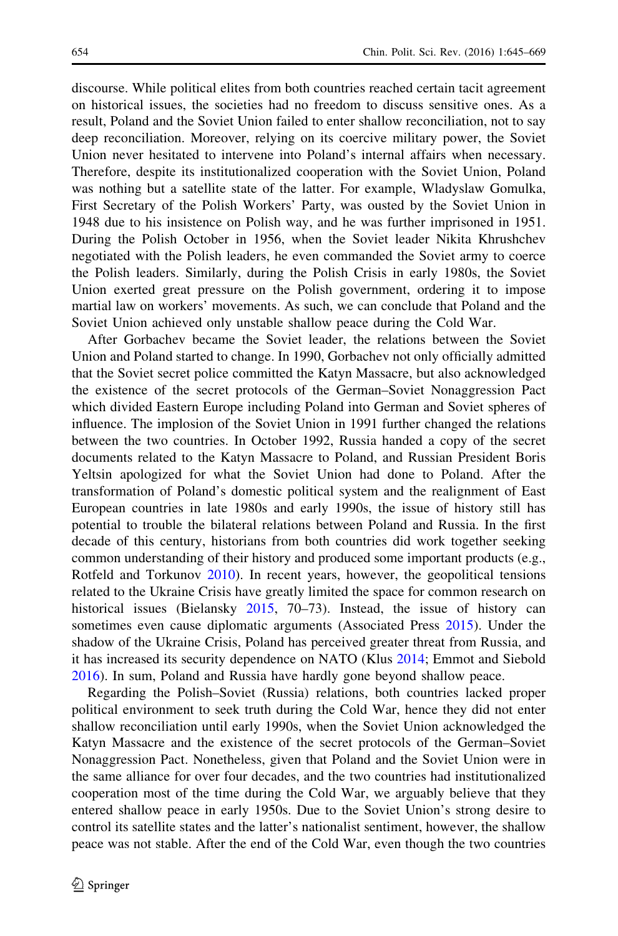discourse. While political elites from both countries reached certain tacit agreement on historical issues, the societies had no freedom to discuss sensitive ones. As a result, Poland and the Soviet Union failed to enter shallow reconciliation, not to say deep reconciliation. Moreover, relying on its coercive military power, the Soviet Union never hesitated to intervene into Poland's internal affairs when necessary. Therefore, despite its institutionalized cooperation with the Soviet Union, Poland was nothing but a satellite state of the latter. For example, Wladyslaw Gomulka, First Secretary of the Polish Workers' Party, was ousted by the Soviet Union in 1948 due to his insistence on Polish way, and he was further imprisoned in 1951. During the Polish October in 1956, when the Soviet leader Nikita Khrushchev negotiated with the Polish leaders, he even commanded the Soviet army to coerce the Polish leaders. Similarly, during the Polish Crisis in early 1980s, the Soviet Union exerted great pressure on the Polish government, ordering it to impose martial law on workers' movements. As such, we can conclude that Poland and the Soviet Union achieved only unstable shallow peace during the Cold War.

After Gorbachev became the Soviet leader, the relations between the Soviet Union and Poland started to change. In 1990, Gorbachev not only officially admitted that the Soviet secret police committed the Katyn Massacre, but also acknowledged the existence of the secret protocols of the German–Soviet Nonaggression Pact which divided Eastern Europe including Poland into German and Soviet spheres of influence. The implosion of the Soviet Union in 1991 further changed the relations between the two countries. In October 1992, Russia handed a copy of the secret documents related to the Katyn Massacre to Poland, and Russian President Boris Yeltsin apologized for what the Soviet Union had done to Poland. After the transformation of Poland's domestic political system and the realignment of East European countries in late 1980s and early 1990s, the issue of history still has potential to trouble the bilateral relations between Poland and Russia. In the first decade of this century, historians from both countries did work together seeking common understanding of their history and produced some important products (e.g., Rotfeld and Torkunov [2010](#page-24-0)). In recent years, however, the geopolitical tensions related to the Ukraine Crisis have greatly limited the space for common research on historical issues (Bielansky [2015](#page-22-0), 70–73). Instead, the issue of history can sometimes even cause diplomatic arguments (Associated Press [2015\)](#page-22-0). Under the shadow of the Ukraine Crisis, Poland has perceived greater threat from Russia, and it has increased its security dependence on NATO (Klus [2014](#page-23-0); Emmot and Siebold [2016\)](#page-23-0). In sum, Poland and Russia have hardly gone beyond shallow peace.

Regarding the Polish–Soviet (Russia) relations, both countries lacked proper political environment to seek truth during the Cold War, hence they did not enter shallow reconciliation until early 1990s, when the Soviet Union acknowledged the Katyn Massacre and the existence of the secret protocols of the German–Soviet Nonaggression Pact. Nonetheless, given that Poland and the Soviet Union were in the same alliance for over four decades, and the two countries had institutionalized cooperation most of the time during the Cold War, we arguably believe that they entered shallow peace in early 1950s. Due to the Soviet Union's strong desire to control its satellite states and the latter's nationalist sentiment, however, the shallow peace was not stable. After the end of the Cold War, even though the two countries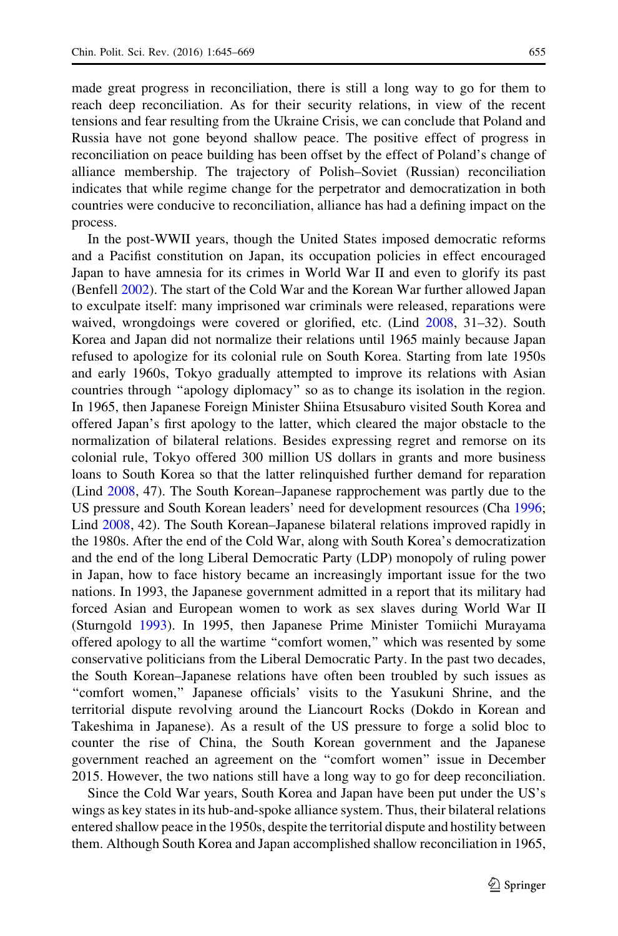made great progress in reconciliation, there is still a long way to go for them to reach deep reconciliation. As for their security relations, in view of the recent tensions and fear resulting from the Ukraine Crisis, we can conclude that Poland and Russia have not gone beyond shallow peace. The positive effect of progress in reconciliation on peace building has been offset by the effect of Poland's change of alliance membership. The trajectory of Polish–Soviet (Russian) reconciliation indicates that while regime change for the perpetrator and democratization in both countries were conducive to reconciliation, alliance has had a defining impact on the process.

In the post-WWII years, though the United States imposed democratic reforms and a Pacifist constitution on Japan, its occupation policies in effect encouraged Japan to have amnesia for its crimes in World War II and even to glorify its past (Benfell [2002](#page-22-0)). The start of the Cold War and the Korean War further allowed Japan to exculpate itself: many imprisoned war criminals were released, reparations were waived, wrongdoings were covered or glorified, etc. (Lind [2008,](#page-23-0) 31–32). South Korea and Japan did not normalize their relations until 1965 mainly because Japan refused to apologize for its colonial rule on South Korea. Starting from late 1950s and early 1960s, Tokyo gradually attempted to improve its relations with Asian countries through ''apology diplomacy'' so as to change its isolation in the region. In 1965, then Japanese Foreign Minister Shiina Etsusaburo visited South Korea and offered Japan's first apology to the latter, which cleared the major obstacle to the normalization of bilateral relations. Besides expressing regret and remorse on its colonial rule, Tokyo offered 300 million US dollars in grants and more business loans to South Korea so that the latter relinquished further demand for reparation (Lind [2008](#page-23-0), 47). The South Korean–Japanese rapprochement was partly due to the US pressure and South Korean leaders' need for development resources (Cha [1996;](#page-23-0) Lind [2008,](#page-23-0) 42). The South Korean–Japanese bilateral relations improved rapidly in the 1980s. After the end of the Cold War, along with South Korea's democratization and the end of the long Liberal Democratic Party (LDP) monopoly of ruling power in Japan, how to face history became an increasingly important issue for the two nations. In 1993, the Japanese government admitted in a report that its military had forced Asian and European women to work as sex slaves during World War II (Sturngold [1993\)](#page-24-0). In 1995, then Japanese Prime Minister Tomiichi Murayama offered apology to all the wartime ''comfort women,'' which was resented by some conservative politicians from the Liberal Democratic Party. In the past two decades, the South Korean–Japanese relations have often been troubled by such issues as ''comfort women,'' Japanese officials' visits to the Yasukuni Shrine, and the territorial dispute revolving around the Liancourt Rocks (Dokdo in Korean and Takeshima in Japanese). As a result of the US pressure to forge a solid bloc to counter the rise of China, the South Korean government and the Japanese government reached an agreement on the ''comfort women'' issue in December 2015. However, the two nations still have a long way to go for deep reconciliation.

Since the Cold War years, South Korea and Japan have been put under the US's wings as key states in its hub-and-spoke alliance system. Thus, their bilateral relations entered shallow peace in the 1950s, despite the territorial dispute and hostility between them. Although South Korea and Japan accomplished shallow reconciliation in 1965,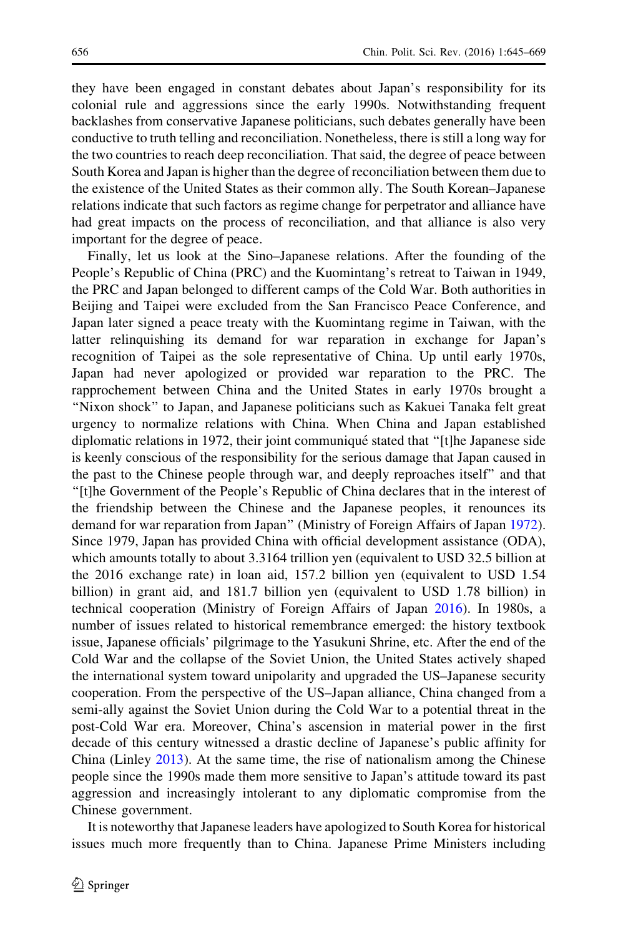they have been engaged in constant debates about Japan's responsibility for its colonial rule and aggressions since the early 1990s. Notwithstanding frequent backlashes from conservative Japanese politicians, such debates generally have been conductive to truth telling and reconciliation. Nonetheless, there is still a long way for the two countries to reach deep reconciliation. That said, the degree of peace between South Korea and Japan is higher than the degree of reconciliation between them due to the existence of the United States as their common ally. The South Korean–Japanese relations indicate that such factors as regime change for perpetrator and alliance have had great impacts on the process of reconciliation, and that alliance is also very important for the degree of peace.

Finally, let us look at the Sino–Japanese relations. After the founding of the People's Republic of China (PRC) and the Kuomintang's retreat to Taiwan in 1949, the PRC and Japan belonged to different camps of the Cold War. Both authorities in Beijing and Taipei were excluded from the San Francisco Peace Conference, and Japan later signed a peace treaty with the Kuomintang regime in Taiwan, with the latter relinquishing its demand for war reparation in exchange for Japan's recognition of Taipei as the sole representative of China. Up until early 1970s, Japan had never apologized or provided war reparation to the PRC. The rapprochement between China and the United States in early 1970s brought a ''Nixon shock'' to Japan, and Japanese politicians such as Kakuei Tanaka felt great urgency to normalize relations with China. When China and Japan established diplomatic relations in 1972, their joint communiqué stated that "[t]he Japanese side is keenly conscious of the responsibility for the serious damage that Japan caused in the past to the Chinese people through war, and deeply reproaches itself'' and that ''[t]he Government of the People's Republic of China declares that in the interest of the friendship between the Chinese and the Japanese peoples, it renounces its demand for war reparation from Japan'' (Ministry of Foreign Affairs of Japan [1972\)](#page-23-0). Since 1979, Japan has provided China with official development assistance (ODA), which amounts totally to about 3.3164 trillion yen (equivalent to USD 32.5 billion at the 2016 exchange rate) in loan aid, 157.2 billion yen (equivalent to USD 1.54 billion) in grant aid, and 181.7 billion yen (equivalent to USD 1.78 billion) in technical cooperation (Ministry of Foreign Affairs of Japan [2016](#page-24-0)). In 1980s, a number of issues related to historical remembrance emerged: the history textbook issue, Japanese officials' pilgrimage to the Yasukuni Shrine, etc. After the end of the Cold War and the collapse of the Soviet Union, the United States actively shaped the international system toward unipolarity and upgraded the US–Japanese security cooperation. From the perspective of the US–Japan alliance, China changed from a semi-ally against the Soviet Union during the Cold War to a potential threat in the post-Cold War era. Moreover, China's ascension in material power in the first decade of this century witnessed a drastic decline of Japanese's public affinity for China (Linley [2013\)](#page-23-0). At the same time, the rise of nationalism among the Chinese people since the 1990s made them more sensitive to Japan's attitude toward its past aggression and increasingly intolerant to any diplomatic compromise from the Chinese government.

It is noteworthy that Japanese leaders have apologized to South Korea for historical issues much more frequently than to China. Japanese Prime Ministers including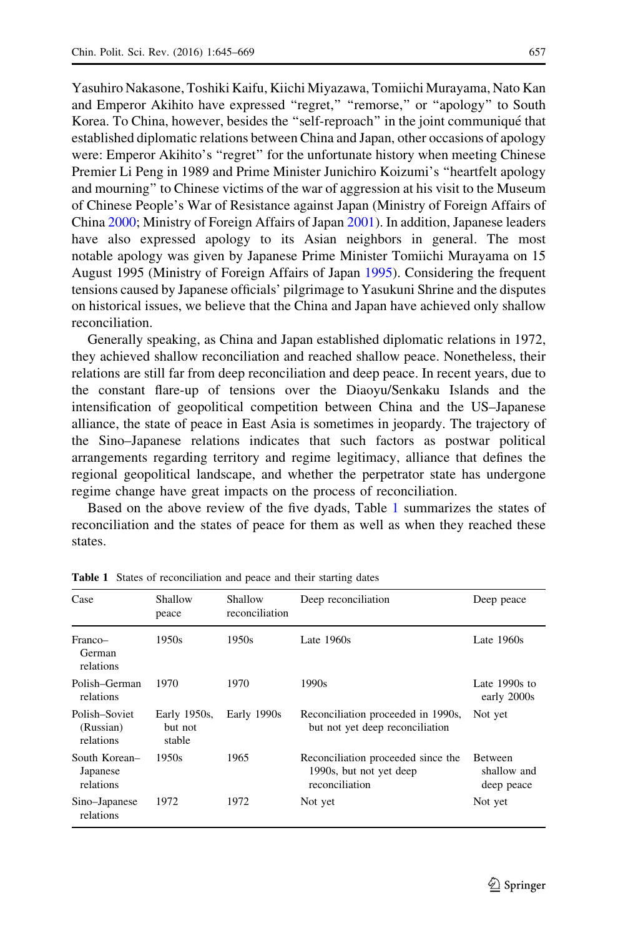Yasuhiro Nakasone, Toshiki Kaifu, Kiichi Miyazawa, Tomiichi Murayama, Nato Kan and Emperor Akihito have expressed "regret," "remorse," or "apology" to South Korea. To China, however, besides the "self-reproach" in the joint communiqué that established diplomatic relations between China and Japan, other occasions of apology were: Emperor Akihito's "regret" for the unfortunate history when meeting Chinese Premier Li Peng in 1989 and Prime Minister Junichiro Koizumi's ''heartfelt apology and mourning'' to Chinese victims of the war of aggression at his visit to the Museum of Chinese People's War of Resistance against Japan (Ministry of Foreign Affairs of China [2000;](#page-23-0) Ministry of Foreign Affairs of Japan [2001\)](#page-24-0). In addition, Japanese leaders have also expressed apology to its Asian neighbors in general. The most notable apology was given by Japanese Prime Minister Tomiichi Murayama on 15 August 1995 (Ministry of Foreign Affairs of Japan [1995](#page-23-0)). Considering the frequent tensions caused by Japanese officials' pilgrimage to Yasukuni Shrine and the disputes on historical issues, we believe that the China and Japan have achieved only shallow reconciliation.

Generally speaking, as China and Japan established diplomatic relations in 1972, they achieved shallow reconciliation and reached shallow peace. Nonetheless, their relations are still far from deep reconciliation and deep peace. In recent years, due to the constant flare-up of tensions over the Diaoyu/Senkaku Islands and the intensification of geopolitical competition between China and the US–Japanese alliance, the state of peace in East Asia is sometimes in jeopardy. The trajectory of the Sino–Japanese relations indicates that such factors as postwar political arrangements regarding territory and regime legitimacy, alliance that defines the regional geopolitical landscape, and whether the perpetrator state has undergone regime change have great impacts on the process of reconciliation.

Based on the above review of the five dyads, Table 1 summarizes the states of reconciliation and the states of peace for them as well as when they reached these states.

| Case                                    | Shallow<br>peace                  | Shallow<br>reconciliation | Deep reconciliation                                                             | Deep peace                                  |
|-----------------------------------------|-----------------------------------|---------------------------|---------------------------------------------------------------------------------|---------------------------------------------|
| Franco-<br>German<br>relations          | 1950s                             | 1950s                     | Late $1960s$                                                                    | Late $1960s$                                |
| Polish-German<br>relations              | 1970                              | 1970                      | 1990s                                                                           | Late $1990s$ to<br>early 2000s              |
| Polish-Soviet<br>(Russian)<br>relations | Early 1950s,<br>but not<br>stable | Early 1990s               | Reconciliation proceeded in 1990s,<br>but not yet deep reconciliation           | Not yet                                     |
| South Korean-<br>Japanese<br>relations  | 1950s                             | 1965                      | Reconciliation proceeded since the<br>1990s, but not yet deep<br>reconciliation | <b>Between</b><br>shallow and<br>deep peace |
| Sino-Japanese<br>relations              | 1972                              | 1972                      | Not yet                                                                         | Not yet                                     |

Table 1 States of reconciliation and peace and their starting dates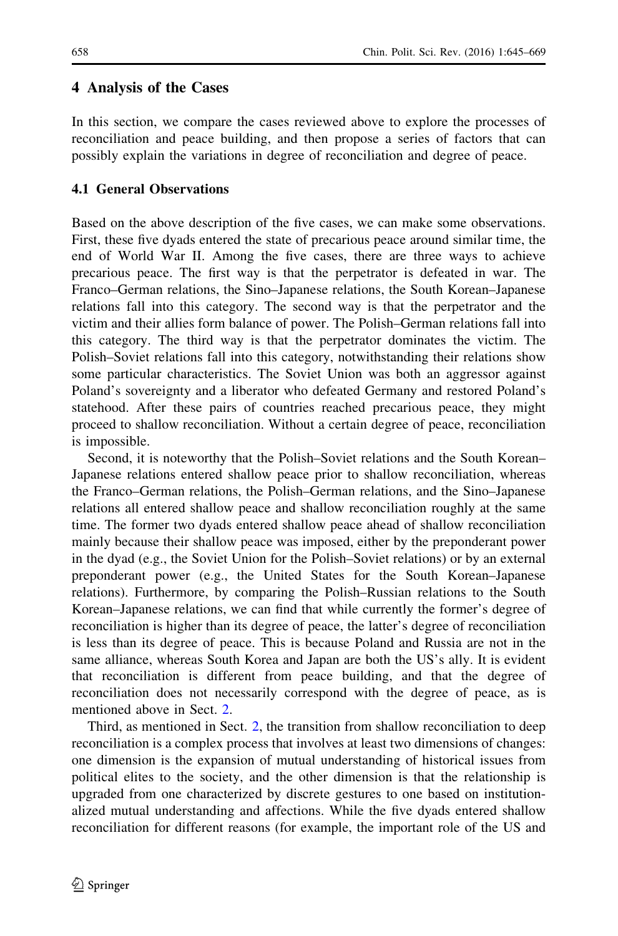### <span id="page-13-0"></span>4 Analysis of the Cases

In this section, we compare the cases reviewed above to explore the processes of reconciliation and peace building, and then propose a series of factors that can possibly explain the variations in degree of reconciliation and degree of peace.

#### 4.1 General Observations

Based on the above description of the five cases, we can make some observations. First, these five dyads entered the state of precarious peace around similar time, the end of World War II. Among the five cases, there are three ways to achieve precarious peace. The first way is that the perpetrator is defeated in war. The Franco–German relations, the Sino–Japanese relations, the South Korean–Japanese relations fall into this category. The second way is that the perpetrator and the victim and their allies form balance of power. The Polish–German relations fall into this category. The third way is that the perpetrator dominates the victim. The Polish–Soviet relations fall into this category, notwithstanding their relations show some particular characteristics. The Soviet Union was both an aggressor against Poland's sovereignty and a liberator who defeated Germany and restored Poland's statehood. After these pairs of countries reached precarious peace, they might proceed to shallow reconciliation. Without a certain degree of peace, reconciliation is impossible.

Second, it is noteworthy that the Polish–Soviet relations and the South Korean– Japanese relations entered shallow peace prior to shallow reconciliation, whereas the Franco–German relations, the Polish–German relations, and the Sino–Japanese relations all entered shallow peace and shallow reconciliation roughly at the same time. The former two dyads entered shallow peace ahead of shallow reconciliation mainly because their shallow peace was imposed, either by the preponderant power in the dyad (e.g., the Soviet Union for the Polish–Soviet relations) or by an external preponderant power (e.g., the United States for the South Korean–Japanese relations). Furthermore, by comparing the Polish–Russian relations to the South Korean–Japanese relations, we can find that while currently the former's degree of reconciliation is higher than its degree of peace, the latter's degree of reconciliation is less than its degree of peace. This is because Poland and Russia are not in the same alliance, whereas South Korea and Japan are both the US's ally. It is evident that reconciliation is different from peace building, and that the degree of reconciliation does not necessarily correspond with the degree of peace, as is mentioned above in Sect. [2](#page-2-0).

Third, as mentioned in Sect. [2](#page-2-0), the transition from shallow reconciliation to deep reconciliation is a complex process that involves at least two dimensions of changes: one dimension is the expansion of mutual understanding of historical issues from political elites to the society, and the other dimension is that the relationship is upgraded from one characterized by discrete gestures to one based on institutionalized mutual understanding and affections. While the five dyads entered shallow reconciliation for different reasons (for example, the important role of the US and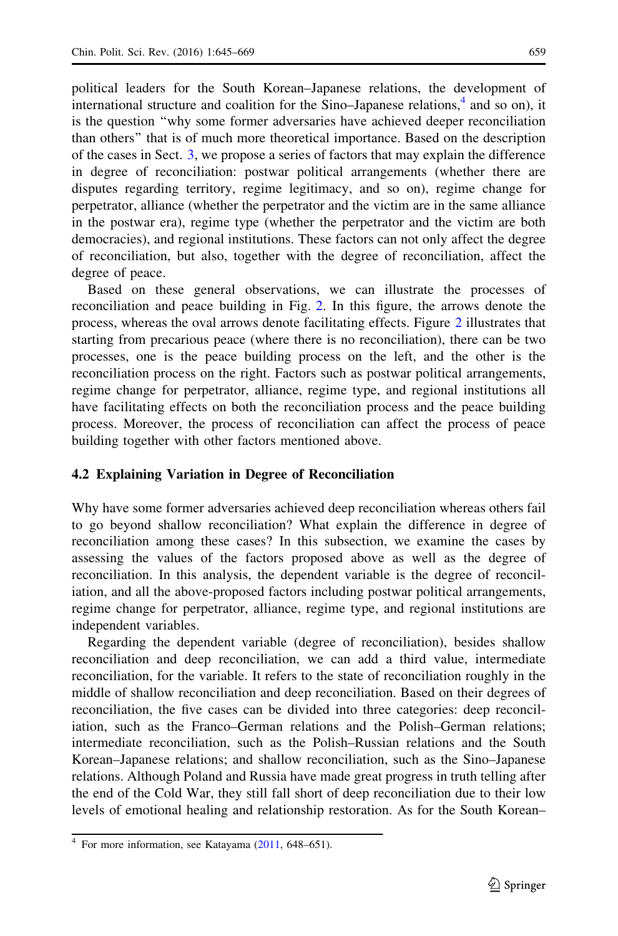political leaders for the South Korean–Japanese relations, the development of international structure and coalition for the Sino–Japanese relations, $4$  and so on), it is the question ''why some former adversaries have achieved deeper reconciliation than others'' that is of much more theoretical importance. Based on the description of the cases in Sect. [3](#page-5-0), we propose a series of factors that may explain the difference in degree of reconciliation: postwar political arrangements (whether there are disputes regarding territory, regime legitimacy, and so on), regime change for perpetrator, alliance (whether the perpetrator and the victim are in the same alliance in the postwar era), regime type (whether the perpetrator and the victim are both democracies), and regional institutions. These factors can not only affect the degree of reconciliation, but also, together with the degree of reconciliation, affect the degree of peace.

Based on these general observations, we can illustrate the processes of reconciliation and peace building in Fig. [2.](#page-15-0) In this figure, the arrows denote the process, whereas the oval arrows denote facilitating effects. Figure [2](#page-15-0) illustrates that starting from precarious peace (where there is no reconciliation), there can be two processes, one is the peace building process on the left, and the other is the reconciliation process on the right. Factors such as postwar political arrangements, regime change for perpetrator, alliance, regime type, and regional institutions all have facilitating effects on both the reconciliation process and the peace building process. Moreover, the process of reconciliation can affect the process of peace building together with other factors mentioned above.

#### 4.2 Explaining Variation in Degree of Reconciliation

Why have some former adversaries achieved deep reconciliation whereas others fail to go beyond shallow reconciliation? What explain the difference in degree of reconciliation among these cases? In this subsection, we examine the cases by assessing the values of the factors proposed above as well as the degree of reconciliation. In this analysis, the dependent variable is the degree of reconciliation, and all the above-proposed factors including postwar political arrangements, regime change for perpetrator, alliance, regime type, and regional institutions are independent variables.

Regarding the dependent variable (degree of reconciliation), besides shallow reconciliation and deep reconciliation, we can add a third value, intermediate reconciliation, for the variable. It refers to the state of reconciliation roughly in the middle of shallow reconciliation and deep reconciliation. Based on their degrees of reconciliation, the five cases can be divided into three categories: deep reconciliation, such as the Franco–German relations and the Polish–German relations; intermediate reconciliation, such as the Polish–Russian relations and the South Korean–Japanese relations; and shallow reconciliation, such as the Sino–Japanese relations. Although Poland and Russia have made great progress in truth telling after the end of the Cold War, they still fall short of deep reconciliation due to their low levels of emotional healing and relationship restoration. As for the South Korean–

 $4$  For more information, see Katayama  $(2011, 648-651)$  $(2011, 648-651)$  $(2011, 648-651)$ .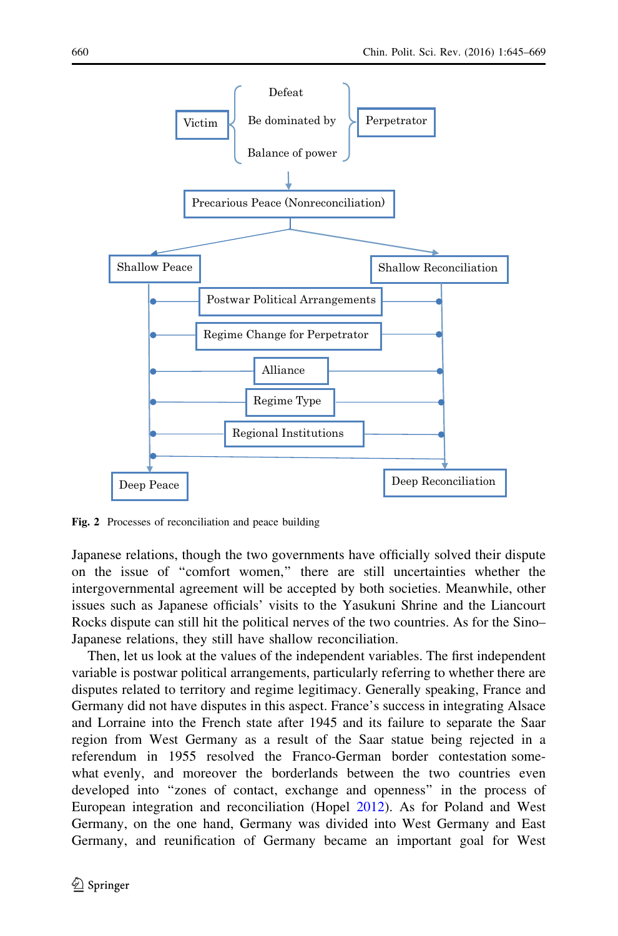<span id="page-15-0"></span>

Fig. 2 Processes of reconciliation and peace building

Japanese relations, though the two governments have officially solved their dispute on the issue of ''comfort women,'' there are still uncertainties whether the intergovernmental agreement will be accepted by both societies. Meanwhile, other issues such as Japanese officials' visits to the Yasukuni Shrine and the Liancourt Rocks dispute can still hit the political nerves of the two countries. As for the Sino– Japanese relations, they still have shallow reconciliation.

Then, let us look at the values of the independent variables. The first independent variable is postwar political arrangements, particularly referring to whether there are disputes related to territory and regime legitimacy. Generally speaking, France and Germany did not have disputes in this aspect. France's success in integrating Alsace and Lorraine into the French state after 1945 and its failure to separate the Saar region from West Germany as a result of the Saar statue being rejected in a referendum in 1955 resolved the Franco-German border contestation somewhat evenly, and moreover the borderlands between the two countries even developed into ''zones of contact, exchange and openness'' in the process of European integration and reconciliation (Hopel [2012\)](#page-23-0). As for Poland and West Germany, on the one hand, Germany was divided into West Germany and East Germany, and reunification of Germany became an important goal for West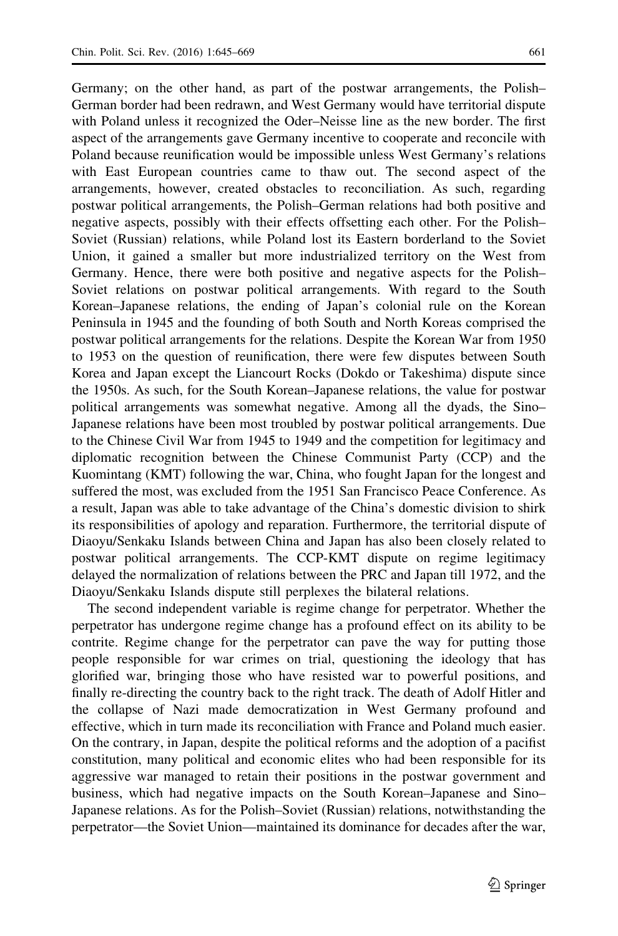Germany; on the other hand, as part of the postwar arrangements, the Polish– German border had been redrawn, and West Germany would have territorial dispute with Poland unless it recognized the Oder–Neisse line as the new border. The first aspect of the arrangements gave Germany incentive to cooperate and reconcile with Poland because reunification would be impossible unless West Germany's relations with East European countries came to thaw out. The second aspect of the arrangements, however, created obstacles to reconciliation. As such, regarding postwar political arrangements, the Polish–German relations had both positive and negative aspects, possibly with their effects offsetting each other. For the Polish– Soviet (Russian) relations, while Poland lost its Eastern borderland to the Soviet Union, it gained a smaller but more industrialized territory on the West from Germany. Hence, there were both positive and negative aspects for the Polish– Soviet relations on postwar political arrangements. With regard to the South Korean–Japanese relations, the ending of Japan's colonial rule on the Korean Peninsula in 1945 and the founding of both South and North Koreas comprised the postwar political arrangements for the relations. Despite the Korean War from 1950 to 1953 on the question of reunification, there were few disputes between South Korea and Japan except the Liancourt Rocks (Dokdo or Takeshima) dispute since the 1950s. As such, for the South Korean–Japanese relations, the value for postwar political arrangements was somewhat negative. Among all the dyads, the Sino– Japanese relations have been most troubled by postwar political arrangements. Due to the Chinese Civil War from 1945 to 1949 and the competition for legitimacy and diplomatic recognition between the Chinese Communist Party (CCP) and the Kuomintang (KMT) following the war, China, who fought Japan for the longest and suffered the most, was excluded from the 1951 San Francisco Peace Conference. As a result, Japan was able to take advantage of the China's domestic division to shirk its responsibilities of apology and reparation. Furthermore, the territorial dispute of Diaoyu/Senkaku Islands between China and Japan has also been closely related to postwar political arrangements. The CCP-KMT dispute on regime legitimacy delayed the normalization of relations between the PRC and Japan till 1972, and the Diaoyu/Senkaku Islands dispute still perplexes the bilateral relations.

The second independent variable is regime change for perpetrator. Whether the perpetrator has undergone regime change has a profound effect on its ability to be contrite. Regime change for the perpetrator can pave the way for putting those people responsible for war crimes on trial, questioning the ideology that has glorified war, bringing those who have resisted war to powerful positions, and finally re-directing the country back to the right track. The death of Adolf Hitler and the collapse of Nazi made democratization in West Germany profound and effective, which in turn made its reconciliation with France and Poland much easier. On the contrary, in Japan, despite the political reforms and the adoption of a pacifist constitution, many political and economic elites who had been responsible for its aggressive war managed to retain their positions in the postwar government and business, which had negative impacts on the South Korean–Japanese and Sino– Japanese relations. As for the Polish–Soviet (Russian) relations, notwithstanding the perpetrator—the Soviet Union—maintained its dominance for decades after the war,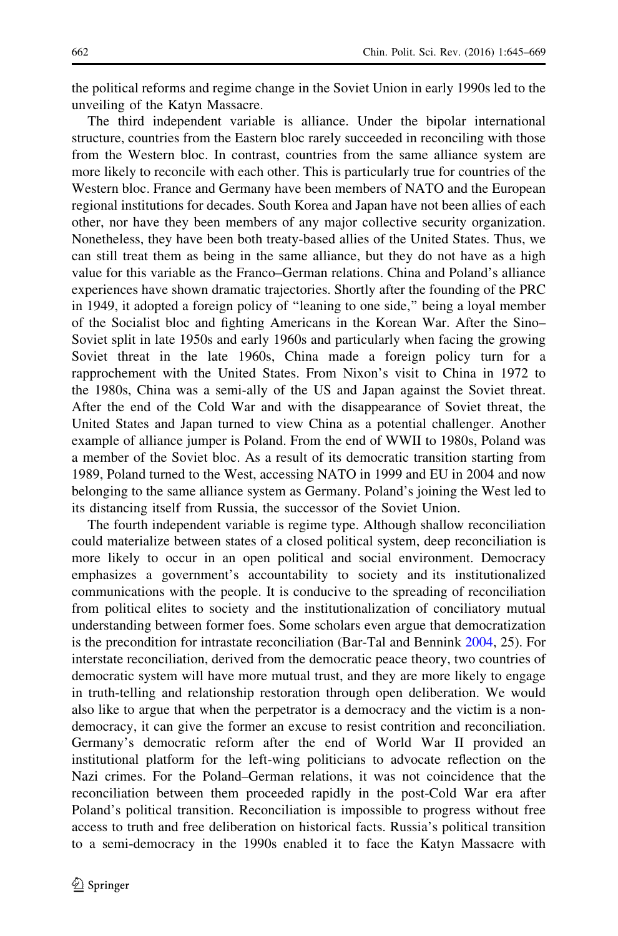the political reforms and regime change in the Soviet Union in early 1990s led to the unveiling of the Katyn Massacre.

The third independent variable is alliance. Under the bipolar international structure, countries from the Eastern bloc rarely succeeded in reconciling with those from the Western bloc. In contrast, countries from the same alliance system are more likely to reconcile with each other. This is particularly true for countries of the Western bloc. France and Germany have been members of NATO and the European regional institutions for decades. South Korea and Japan have not been allies of each other, nor have they been members of any major collective security organization. Nonetheless, they have been both treaty-based allies of the United States. Thus, we can still treat them as being in the same alliance, but they do not have as a high value for this variable as the Franco–German relations. China and Poland's alliance experiences have shown dramatic trajectories. Shortly after the founding of the PRC in 1949, it adopted a foreign policy of ''leaning to one side,'' being a loyal member of the Socialist bloc and fighting Americans in the Korean War. After the Sino– Soviet split in late 1950s and early 1960s and particularly when facing the growing Soviet threat in the late 1960s, China made a foreign policy turn for a rapprochement with the United States. From Nixon's visit to China in 1972 to the 1980s, China was a semi-ally of the US and Japan against the Soviet threat. After the end of the Cold War and with the disappearance of Soviet threat, the United States and Japan turned to view China as a potential challenger. Another example of alliance jumper is Poland. From the end of WWII to 1980s, Poland was a member of the Soviet bloc. As a result of its democratic transition starting from 1989, Poland turned to the West, accessing NATO in 1999 and EU in 2004 and now belonging to the same alliance system as Germany. Poland's joining the West led to its distancing itself from Russia, the successor of the Soviet Union.

The fourth independent variable is regime type. Although shallow reconciliation could materialize between states of a closed political system, deep reconciliation is more likely to occur in an open political and social environment. Democracy emphasizes a government's accountability to society and its institutionalized communications with the people. It is conducive to the spreading of reconciliation from political elites to society and the institutionalization of conciliatory mutual understanding between former foes. Some scholars even argue that democratization is the precondition for intrastate reconciliation (Bar-Tal and Bennink [2004,](#page-22-0) 25). For interstate reconciliation, derived from the democratic peace theory, two countries of democratic system will have more mutual trust, and they are more likely to engage in truth-telling and relationship restoration through open deliberation. We would also like to argue that when the perpetrator is a democracy and the victim is a nondemocracy, it can give the former an excuse to resist contrition and reconciliation. Germany's democratic reform after the end of World War II provided an institutional platform for the left-wing politicians to advocate reflection on the Nazi crimes. For the Poland–German relations, it was not coincidence that the reconciliation between them proceeded rapidly in the post-Cold War era after Poland's political transition. Reconciliation is impossible to progress without free access to truth and free deliberation on historical facts. Russia's political transition to a semi-democracy in the 1990s enabled it to face the Katyn Massacre with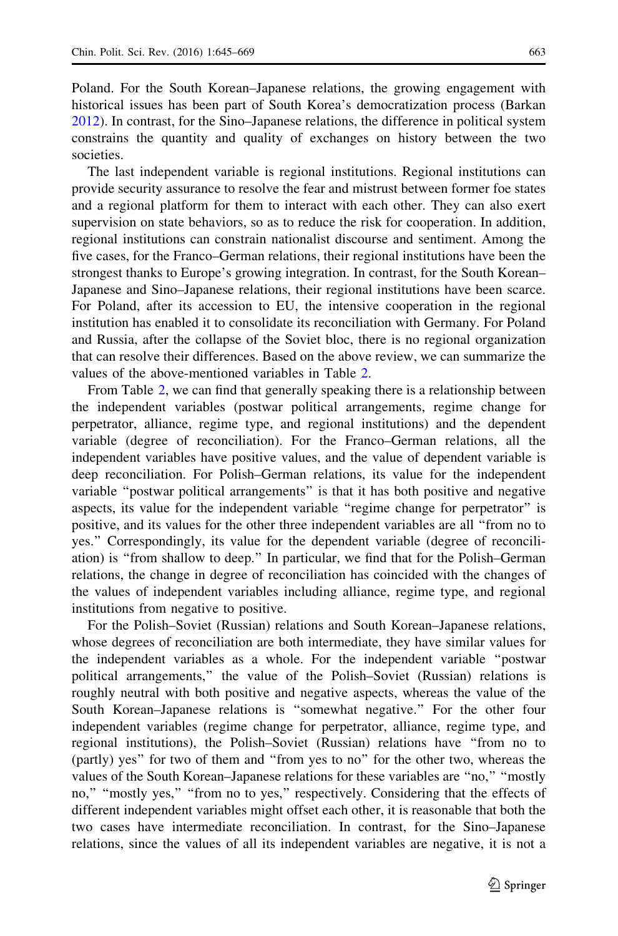Poland. For the South Korean–Japanese relations, the growing engagement with historical issues has been part of South Korea's democratization process (Barkan [2012\)](#page-22-0). In contrast, for the Sino–Japanese relations, the difference in political system constrains the quantity and quality of exchanges on history between the two societies.

The last independent variable is regional institutions. Regional institutions can provide security assurance to resolve the fear and mistrust between former foe states and a regional platform for them to interact with each other. They can also exert supervision on state behaviors, so as to reduce the risk for cooperation. In addition, regional institutions can constrain nationalist discourse and sentiment. Among the five cases, for the Franco–German relations, their regional institutions have been the strongest thanks to Europe's growing integration. In contrast, for the South Korean– Japanese and Sino–Japanese relations, their regional institutions have been scarce. For Poland, after its accession to EU, the intensive cooperation in the regional institution has enabled it to consolidate its reconciliation with Germany. For Poland and Russia, after the collapse of the Soviet bloc, there is no regional organization that can resolve their differences. Based on the above review, we can summarize the values of the above-mentioned variables in Table [2.](#page-19-0)

From Table [2,](#page-19-0) we can find that generally speaking there is a relationship between the independent variables (postwar political arrangements, regime change for perpetrator, alliance, regime type, and regional institutions) and the dependent variable (degree of reconciliation). For the Franco–German relations, all the independent variables have positive values, and the value of dependent variable is deep reconciliation. For Polish–German relations, its value for the independent variable ''postwar political arrangements'' is that it has both positive and negative aspects, its value for the independent variable ''regime change for perpetrator'' is positive, and its values for the other three independent variables are all ''from no to yes.'' Correspondingly, its value for the dependent variable (degree of reconciliation) is ''from shallow to deep.'' In particular, we find that for the Polish–German relations, the change in degree of reconciliation has coincided with the changes of the values of independent variables including alliance, regime type, and regional institutions from negative to positive.

For the Polish–Soviet (Russian) relations and South Korean–Japanese relations, whose degrees of reconciliation are both intermediate, they have similar values for the independent variables as a whole. For the independent variable ''postwar political arrangements,'' the value of the Polish–Soviet (Russian) relations is roughly neutral with both positive and negative aspects, whereas the value of the South Korean–Japanese relations is ''somewhat negative.'' For the other four independent variables (regime change for perpetrator, alliance, regime type, and regional institutions), the Polish–Soviet (Russian) relations have ''from no to (partly) yes'' for two of them and ''from yes to no'' for the other two, whereas the values of the South Korean–Japanese relations for these variables are ''no,'' ''mostly no," "mostly yes," "from no to yes," respectively. Considering that the effects of different independent variables might offset each other, it is reasonable that both the two cases have intermediate reconciliation. In contrast, for the Sino–Japanese relations, since the values of all its independent variables are negative, it is not a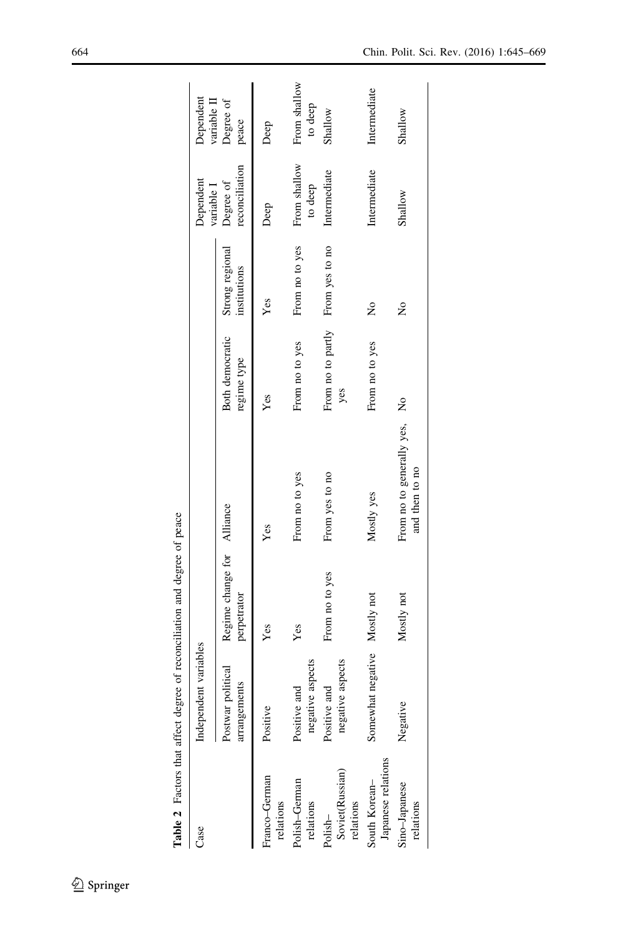<span id="page-19-0"></span>

|                                         | Table 2 Factors that affect degree of reconciliation and degree of peace |                                           |                                                |                                |                                 |                             |                          |
|-----------------------------------------|--------------------------------------------------------------------------|-------------------------------------------|------------------------------------------------|--------------------------------|---------------------------------|-----------------------------|--------------------------|
| Case                                    | Independent variables                                                    |                                           |                                                |                                |                                 | Dependent<br>variable I     | Dependent<br>variable II |
|                                         | Postwar political<br>arrangements                                        | Regime change for Alliance<br>perpetrator |                                                | Both democratic<br>regime type | Strong regional<br>institutions | reconciliation<br>Degree of | Degree of<br>peace       |
| Franco-German<br>relations              | Positive                                                                 | Yes                                       | Yes                                            | Yes                            | Yes                             | Deep                        | Deep                     |
| Polish-German<br>relations              | negative aspects<br>Positive and                                         | Yes                                       | From no to yes                                 | From no to yes                 | From no to yes                  | From shallow<br>to deep     | From shallow<br>to deep  |
| Soviet(Russian)<br>relations<br>Polish- | negative aspects<br>Positive and                                         | From no to yes                            | From yes to no                                 | From no to partly<br>yes       | From yes to no                  | Intermediate                | Shallow                  |
| Japanese relations<br>South Korean-     | Somewhat negative Mostly not                                             |                                           | Mostly yes                                     | From no to yes                 | ż                               | Intermediate                | Intermediate             |
| Sino-Japanese<br>relations              | Negative                                                                 | Mostly not                                | From no to generally yes, No<br>and then to no |                                | ż                               | Shallow                     | Shallow                  |
|                                         |                                                                          |                                           |                                                |                                |                                 |                             |                          |

Table 2 Factors that affect degree of reconciliation and degree of peace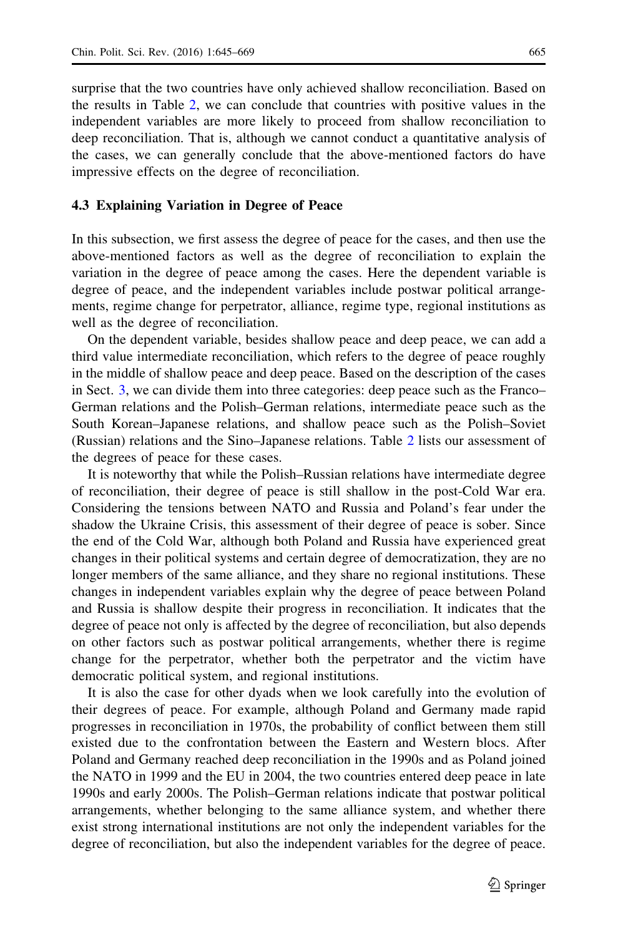surprise that the two countries have only achieved shallow reconciliation. Based on the results in Table [2,](#page-19-0) we can conclude that countries with positive values in the independent variables are more likely to proceed from shallow reconciliation to deep reconciliation. That is, although we cannot conduct a quantitative analysis of the cases, we can generally conclude that the above-mentioned factors do have impressive effects on the degree of reconciliation.

#### 4.3 Explaining Variation in Degree of Peace

In this subsection, we first assess the degree of peace for the cases, and then use the above-mentioned factors as well as the degree of reconciliation to explain the variation in the degree of peace among the cases. Here the dependent variable is degree of peace, and the independent variables include postwar political arrangements, regime change for perpetrator, alliance, regime type, regional institutions as well as the degree of reconciliation.

On the dependent variable, besides shallow peace and deep peace, we can add a third value intermediate reconciliation, which refers to the degree of peace roughly in the middle of shallow peace and deep peace. Based on the description of the cases in Sect. [3](#page-5-0), we can divide them into three categories: deep peace such as the Franco– German relations and the Polish–German relations, intermediate peace such as the South Korean–Japanese relations, and shallow peace such as the Polish–Soviet (Russian) relations and the Sino–Japanese relations. Table [2](#page-19-0) lists our assessment of the degrees of peace for these cases.

It is noteworthy that while the Polish–Russian relations have intermediate degree of reconciliation, their degree of peace is still shallow in the post-Cold War era. Considering the tensions between NATO and Russia and Poland's fear under the shadow the Ukraine Crisis, this assessment of their degree of peace is sober. Since the end of the Cold War, although both Poland and Russia have experienced great changes in their political systems and certain degree of democratization, they are no longer members of the same alliance, and they share no regional institutions. These changes in independent variables explain why the degree of peace between Poland and Russia is shallow despite their progress in reconciliation. It indicates that the degree of peace not only is affected by the degree of reconciliation, but also depends on other factors such as postwar political arrangements, whether there is regime change for the perpetrator, whether both the perpetrator and the victim have democratic political system, and regional institutions.

It is also the case for other dyads when we look carefully into the evolution of their degrees of peace. For example, although Poland and Germany made rapid progresses in reconciliation in 1970s, the probability of conflict between them still existed due to the confrontation between the Eastern and Western blocs. After Poland and Germany reached deep reconciliation in the 1990s and as Poland joined the NATO in 1999 and the EU in 2004, the two countries entered deep peace in late 1990s and early 2000s. The Polish–German relations indicate that postwar political arrangements, whether belonging to the same alliance system, and whether there exist strong international institutions are not only the independent variables for the degree of reconciliation, but also the independent variables for the degree of peace.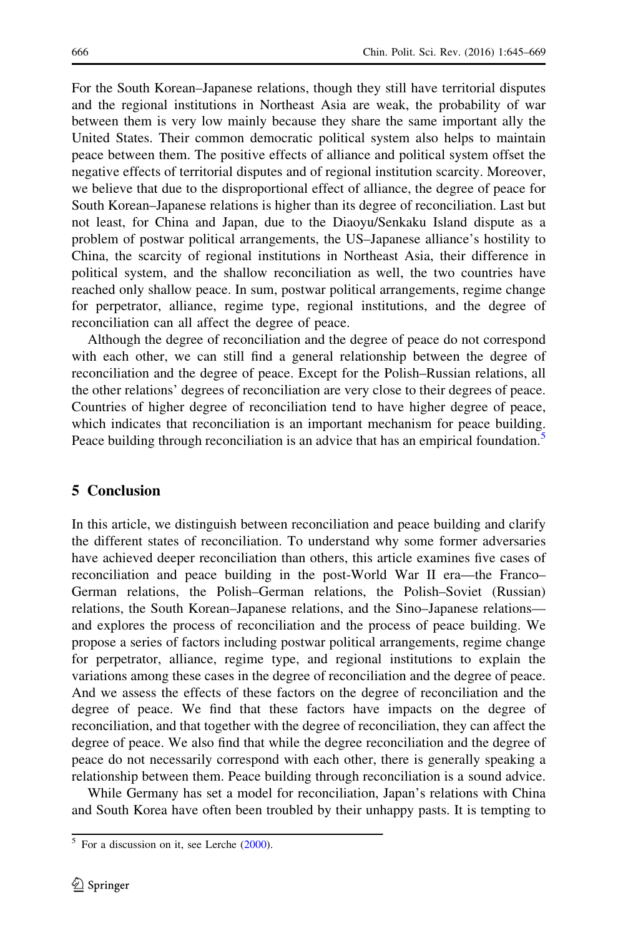<span id="page-21-0"></span>For the South Korean–Japanese relations, though they still have territorial disputes and the regional institutions in Northeast Asia are weak, the probability of war between them is very low mainly because they share the same important ally the United States. Their common democratic political system also helps to maintain peace between them. The positive effects of alliance and political system offset the negative effects of territorial disputes and of regional institution scarcity. Moreover, we believe that due to the disproportional effect of alliance, the degree of peace for South Korean–Japanese relations is higher than its degree of reconciliation. Last but not least, for China and Japan, due to the Diaoyu/Senkaku Island dispute as a problem of postwar political arrangements, the US–Japanese alliance's hostility to China, the scarcity of regional institutions in Northeast Asia, their difference in political system, and the shallow reconciliation as well, the two countries have reached only shallow peace. In sum, postwar political arrangements, regime change for perpetrator, alliance, regime type, regional institutions, and the degree of reconciliation can all affect the degree of peace.

Although the degree of reconciliation and the degree of peace do not correspond with each other, we can still find a general relationship between the degree of reconciliation and the degree of peace. Except for the Polish–Russian relations, all the other relations' degrees of reconciliation are very close to their degrees of peace. Countries of higher degree of reconciliation tend to have higher degree of peace, which indicates that reconciliation is an important mechanism for peace building. Peace building through reconciliation is an advice that has an empirical foundation.<sup>5</sup>

# 5 Conclusion

In this article, we distinguish between reconciliation and peace building and clarify the different states of reconciliation. To understand why some former adversaries have achieved deeper reconciliation than others, this article examines five cases of reconciliation and peace building in the post-World War II era—the Franco– German relations, the Polish–German relations, the Polish–Soviet (Russian) relations, the South Korean–Japanese relations, and the Sino–Japanese relations and explores the process of reconciliation and the process of peace building. We propose a series of factors including postwar political arrangements, regime change for perpetrator, alliance, regime type, and regional institutions to explain the variations among these cases in the degree of reconciliation and the degree of peace. And we assess the effects of these factors on the degree of reconciliation and the degree of peace. We find that these factors have impacts on the degree of reconciliation, and that together with the degree of reconciliation, they can affect the degree of peace. We also find that while the degree reconciliation and the degree of peace do not necessarily correspond with each other, there is generally speaking a relationship between them. Peace building through reconciliation is a sound advice.

While Germany has set a model for reconciliation, Japan's relations with China and South Korea have often been troubled by their unhappy pasts. It is tempting to

 $5$  For a discussion on it, see Lerche ([2000\)](#page-23-0).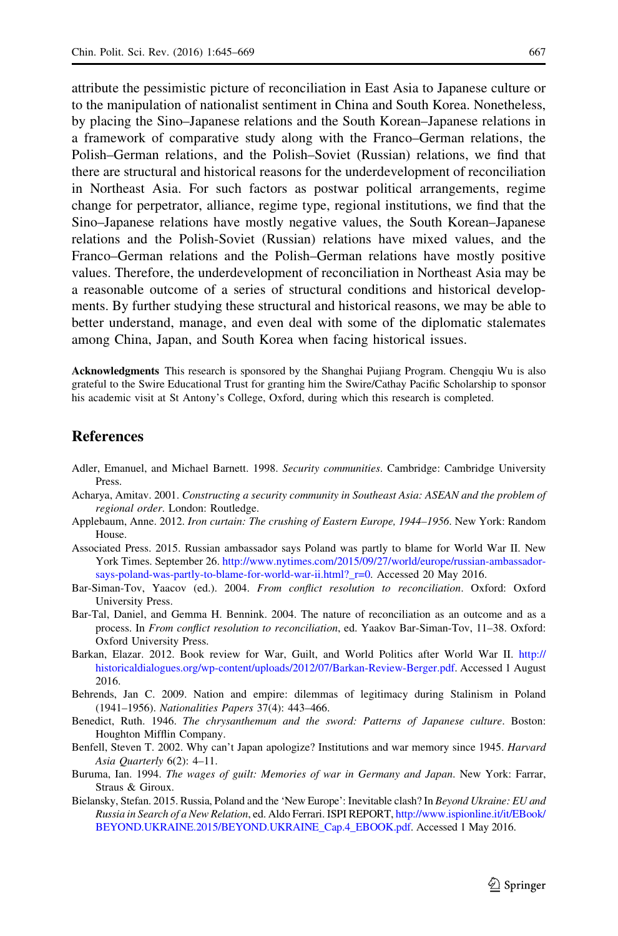<span id="page-22-0"></span>attribute the pessimistic picture of reconciliation in East Asia to Japanese culture or to the manipulation of nationalist sentiment in China and South Korea. Nonetheless, by placing the Sino–Japanese relations and the South Korean–Japanese relations in a framework of comparative study along with the Franco–German relations, the Polish–German relations, and the Polish–Soviet (Russian) relations, we find that there are structural and historical reasons for the underdevelopment of reconciliation in Northeast Asia. For such factors as postwar political arrangements, regime change for perpetrator, alliance, regime type, regional institutions, we find that the Sino–Japanese relations have mostly negative values, the South Korean–Japanese relations and the Polish-Soviet (Russian) relations have mixed values, and the Franco–German relations and the Polish–German relations have mostly positive values. Therefore, the underdevelopment of reconciliation in Northeast Asia may be a reasonable outcome of a series of structural conditions and historical developments. By further studying these structural and historical reasons, we may be able to better understand, manage, and even deal with some of the diplomatic stalemates among China, Japan, and South Korea when facing historical issues.

Acknowledgments This research is sponsored by the Shanghai Pujiang Program. Chengqiu Wu is also grateful to the Swire Educational Trust for granting him the Swire/Cathay Pacific Scholarship to sponsor his academic visit at St Antony's College, Oxford, during which this research is completed.

#### **References**

- Adler, Emanuel, and Michael Barnett. 1998. Security communities. Cambridge: Cambridge University Press.
- Acharya, Amitav. 2001. Constructing a security community in Southeast Asia: ASEAN and the problem of regional order. London: Routledge.
- Applebaum, Anne. 2012. Iron curtain: The crushing of Eastern Europe, 1944–1956. New York: Random House.
- Associated Press. 2015. Russian ambassador says Poland was partly to blame for World War II. New York Times. September 26. [http://www.nytimes.com/2015/09/27/world/europe/russian-ambassador](http://www.nytimes.com/2015/09/27/world/europe/russian-ambassador-says-poland-was-partly-to-blame-for-world-war-ii.html%3f_r%3d0)[says-poland-was-partly-to-blame-for-world-war-ii.html?\\_r=0](http://www.nytimes.com/2015/09/27/world/europe/russian-ambassador-says-poland-was-partly-to-blame-for-world-war-ii.html%3f_r%3d0). Accessed 20 May 2016.
- Bar-Siman-Tov, Yaacov (ed.). 2004. From conflict resolution to reconciliation. Oxford: Oxford University Press.
- Bar-Tal, Daniel, and Gemma H. Bennink. 2004. The nature of reconciliation as an outcome and as a process. In From conflict resolution to reconciliation, ed. Yaakov Bar-Siman-Tov, 11–38. Oxford: Oxford University Press.
- Barkan, Elazar. 2012. Book review for War, Guilt, and World Politics after World War II. [http://](http://historicaldialogues.org/wp-content/uploads/2012/07/Barkan-Review-Berger.pdf) [historicaldialogues.org/wp-content/uploads/2012/07/Barkan-Review-Berger.pdf](http://historicaldialogues.org/wp-content/uploads/2012/07/Barkan-Review-Berger.pdf). Accessed 1 August 2016.
- Behrends, Jan C. 2009. Nation and empire: dilemmas of legitimacy during Stalinism in Poland (1941–1956). Nationalities Papers 37(4): 443–466.
- Benedict, Ruth. 1946. The chrysanthemum and the sword: Patterns of Japanese culture. Boston: Houghton Mifflin Company.
- Benfell, Steven T. 2002. Why can't Japan apologize? Institutions and war memory since 1945. Harvard Asia Quarterly 6(2): 4–11.
- Buruma, Ian. 1994. The wages of guilt: Memories of war in Germany and Japan. New York: Farrar, Straus & Giroux.
- Bielansky, Stefan. 2015. Russia, Poland and the 'New Europe': Inevitable clash? In Beyond Ukraine: EU and Russia in Search of a New Relation, ed. Aldo Ferrari. ISPI REPORT, [http://www.ispionline.it/it/EBook/](http://www.ispionline.it/it/EBook/BEYOND.UKRAINE.2015/BEYOND.UKRAINE_Cap.4_EBOOK.pdf) [BEYOND.UKRAINE.2015/BEYOND.UKRAINE\\_Cap.4\\_EBOOK.pdf](http://www.ispionline.it/it/EBook/BEYOND.UKRAINE.2015/BEYOND.UKRAINE_Cap.4_EBOOK.pdf). Accessed 1 May 2016.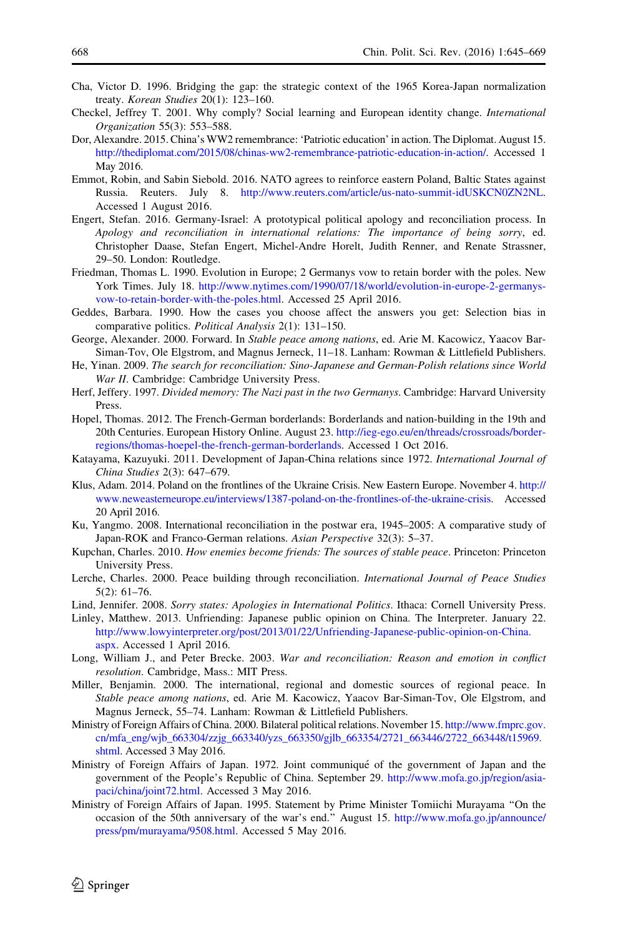- <span id="page-23-0"></span>Cha, Victor D. 1996. Bridging the gap: the strategic context of the 1965 Korea-Japan normalization treaty. Korean Studies 20(1): 123–160.
- Checkel, Jeffrey T. 2001. Why comply? Social learning and European identity change. International Organization 55(3): 553–588.
- Dor, Alexandre. 2015. China's WW2 remembrance: 'Patriotic education' in action. The Diplomat. August 15. [http://thediplomat.com/2015/08/chinas-ww2-remembrance-patriotic-education-in-action/.](http://thediplomat.com/2015/08/chinas-ww2-remembrance-patriotic-education-in-action/) Accessed 1 May 2016.
- Emmot, Robin, and Sabin Siebold. 2016. NATO agrees to reinforce eastern Poland, Baltic States against Russia. Reuters. July 8. <http://www.reuters.com/article/us-nato-summit-idUSKCN0ZN2NL>. Accessed 1 August 2016.
- Engert, Stefan. 2016. Germany-Israel: A prototypical political apology and reconciliation process. In Apology and reconciliation in international relations: The importance of being sorry, ed. Christopher Daase, Stefan Engert, Michel-Andre Horelt, Judith Renner, and Renate Strassner, 29–50. London: Routledge.
- Friedman, Thomas L. 1990. Evolution in Europe; 2 Germanys vow to retain border with the poles. New York Times. July 18. [http://www.nytimes.com/1990/07/18/world/evolution-in-europe-2-germanys](http://www.nytimes.com/1990/07/18/world/evolution-in-europe-2-germanys-vow-to-retain-border-with-the-poles.html)[vow-to-retain-border-with-the-poles.html](http://www.nytimes.com/1990/07/18/world/evolution-in-europe-2-germanys-vow-to-retain-border-with-the-poles.html). Accessed 25 April 2016.
- Geddes, Barbara. 1990. How the cases you choose affect the answers you get: Selection bias in comparative politics. Political Analysis 2(1): 131–150.
- George, Alexander. 2000. Forward. In Stable peace among nations, ed. Arie M. Kacowicz, Yaacov Bar-Siman-Tov, Ole Elgstrom, and Magnus Jerneck, 11–18. Lanham: Rowman & Littlefield Publishers.
- He, Yinan. 2009. The search for reconciliation: Sino-Japanese and German-Polish relations since World War II. Cambridge: Cambridge University Press.
- Herf, Jeffery. 1997. Divided memory: The Nazi past in the two Germanys. Cambridge: Harvard University Press.
- Hopel, Thomas. 2012. The French-German borderlands: Borderlands and nation-building in the 19th and 20th Centuries. European History Online. August 23. [http://ieg-ego.eu/en/threads/crossroads/border](http://ieg-ego.eu/en/threads/crossroads/border-regions/thomas-hoepel-the-french-german-borderlands)[regions/thomas-hoepel-the-french-german-borderlands.](http://ieg-ego.eu/en/threads/crossroads/border-regions/thomas-hoepel-the-french-german-borderlands) Accessed 1 Oct 2016.
- Katayama, Kazuyuki. 2011. Development of Japan-China relations since 1972. International Journal of China Studies 2(3): 647–679.
- Klus, Adam. 2014. Poland on the frontlines of the Ukraine Crisis. New Eastern Europe. November 4. [http://](http://www.neweasterneurope.eu/interviews/1387-poland-on-the-frontlines-of-the-ukraine-crisis) [www.neweasterneurope.eu/interviews/1387-poland-on-the-frontlines-of-the-ukraine-crisis](http://www.neweasterneurope.eu/interviews/1387-poland-on-the-frontlines-of-the-ukraine-crisis). Accessed 20 April 2016.
- Ku, Yangmo. 2008. International reconciliation in the postwar era, 1945–2005: A comparative study of Japan-ROK and Franco-German relations. Asian Perspective 32(3): 5–37.
- Kupchan, Charles. 2010. How enemies become friends: The sources of stable peace. Princeton: Princeton University Press.
- Lerche, Charles. 2000. Peace building through reconciliation. International Journal of Peace Studies 5(2): 61–76.
- Lind, Jennifer. 2008. Sorry states: Apologies in International Politics. Ithaca: Cornell University Press.
- Linley, Matthew. 2013. Unfriending: Japanese public opinion on China. The Interpreter. January 22. [http://www.lowyinterpreter.org/post/2013/01/22/Unfriending-Japanese-public-opinion-on-China.](http://www.lowyinterpreter.org/post/2013/01/22/Unfriending-Japanese-public-opinion-on-China.aspx) [aspx.](http://www.lowyinterpreter.org/post/2013/01/22/Unfriending-Japanese-public-opinion-on-China.aspx) Accessed 1 April 2016.
- Long, William J., and Peter Brecke. 2003. War and reconciliation: Reason and emotion in conflict resolution. Cambridge, Mass.: MIT Press.
- Miller, Benjamin. 2000. The international, regional and domestic sources of regional peace. In Stable peace among nations, ed. Arie M. Kacowicz, Yaacov Bar-Siman-Tov, Ole Elgstrom, and Magnus Jerneck, 55–74. Lanham: Rowman & Littlefield Publishers.
- Ministry of Foreign Affairs of China. 2000. Bilateral political relations. November 15. [http://www.fmprc.gov.](http://www.fmprc.gov.cn/mfa_eng/wjb_663304/zzjg_663340/yzs_663350/gjlb_663354/2721_663446/2722_663448/t15969.shtml) [cn/mfa\\_eng/wjb\\_663304/zzjg\\_663340/yzs\\_663350/gjlb\\_663354/2721\\_663446/2722\\_663448/t15969.](http://www.fmprc.gov.cn/mfa_eng/wjb_663304/zzjg_663340/yzs_663350/gjlb_663354/2721_663446/2722_663448/t15969.shtml) [shtml](http://www.fmprc.gov.cn/mfa_eng/wjb_663304/zzjg_663340/yzs_663350/gjlb_663354/2721_663446/2722_663448/t15969.shtml). Accessed 3 May 2016.
- Ministry of Foreign Affairs of Japan. 1972. Joint communique´ of the government of Japan and the government of the People's Republic of China. September 29. [http://www.mofa.go.jp/region/asia](http://www.mofa.go.jp/region/asia-paci/china/joint72.html)[paci/china/joint72.html](http://www.mofa.go.jp/region/asia-paci/china/joint72.html). Accessed 3 May 2016.
- Ministry of Foreign Affairs of Japan. 1995. Statement by Prime Minister Tomiichi Murayama ''On the occasion of the 50th anniversary of the war's end.'' August 15. [http://www.mofa.go.jp/announce/](http://www.mofa.go.jp/announce/press/pm/murayama/9508.html) [press/pm/murayama/9508.html](http://www.mofa.go.jp/announce/press/pm/murayama/9508.html). Accessed 5 May 2016.